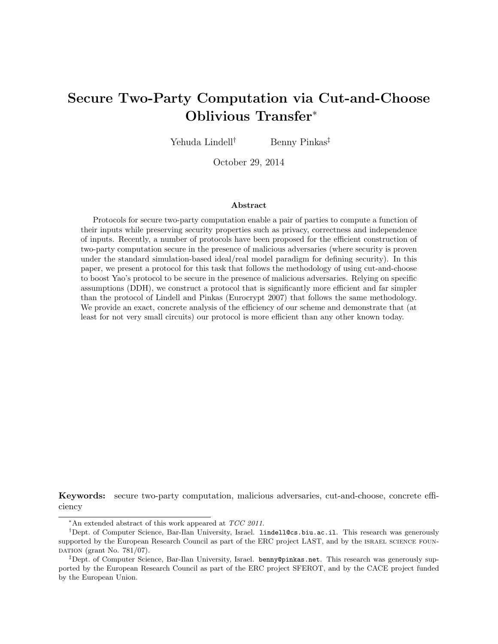# Secure Two-Party Computation via Cut-and-Choose Oblivious Transfer<sup>∗</sup>

Yehuda Lindell<sup>†</sup> Benny Pinkas<sup>‡</sup>

October 29, 2014

#### Abstract

Protocols for secure two-party computation enable a pair of parties to compute a function of their inputs while preserving security properties such as privacy, correctness and independence of inputs. Recently, a number of protocols have been proposed for the efficient construction of two-party computation secure in the presence of malicious adversaries (where security is proven under the standard simulation-based ideal/real model paradigm for defining security). In this paper, we present a protocol for this task that follows the methodology of using cut-and-choose to boost Yao's protocol to be secure in the presence of malicious adversaries. Relying on specific assumptions (DDH), we construct a protocol that is significantly more efficient and far simpler than the protocol of Lindell and Pinkas (Eurocrypt 2007) that follows the same methodology. We provide an exact, concrete analysis of the efficiency of our scheme and demonstrate that (at least for not very small circuits) our protocol is more efficient than any other known today.

Keywords: secure two-party computation, malicious adversaries, cut-and-choose, concrete efficiency

<sup>∗</sup>An extended abstract of this work appeared at TCC 2011.

<sup>†</sup>Dept. of Computer Science, Bar-Ilan University, Israel. lindell@cs.biu.ac.il. This research was generously supported by the European Research Council as part of the ERC project LAST, and by the ISRAEL SCIENCE FOUN-DATION (grant No.  $781/07$ ).

<sup>‡</sup>Dept. of Computer Science, Bar-Ilan University, Israel. benny@pinkas.net. This research was generously supported by the European Research Council as part of the ERC project SFEROT, and by the CACE project funded by the European Union.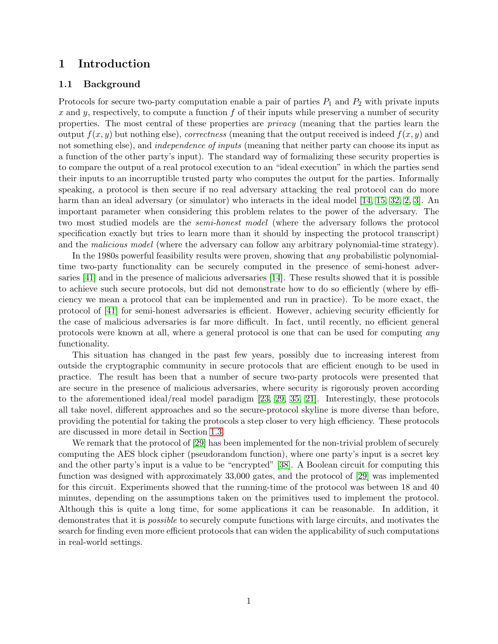## 1 Introduction

#### 1.1 Background

Protocols for secure two-party computation enable a pair of parties  $P_1$  and  $P_2$  with private inputs x and y, respectively, to compute a function  $f$  of their inputs while preserving a number of security properties. The most central of these properties are privacy (meaning that the parties learn the output  $f(x, y)$  but nothing else), *correctness* (meaning that the output received is indeed  $f(x, y)$  and not something else), and *independence of inputs* (meaning that neither party can choose its input as a function of the other party's input). The standard way of formalizing these security properties is to compare the output of a real protocol execution to an "ideal execution" in which the parties send their inputs to an incorruptible trusted party who computes the output for the parties. Informally speaking, a protocol is then secure if no real adversary attacking the real protocol can do more harm than an ideal adversary (or simulator) who interacts in the ideal model [\[14,](#page-29-0) [15,](#page-29-1) [32,](#page-30-0) [2,](#page-28-0) [3\]](#page-28-1). An important parameter when considering this problem relates to the power of the adversary. The two most studied models are the semi-honest model (where the adversary follows the protocol specification exactly but tries to learn more than it should by inspecting the protocol transcript) and the malicious model (where the adversary can follow any arbitrary polynomial-time strategy).

In the 1980s powerful feasibility results were proven, showing that any probabilistic polynomialtime two-party functionality can be securely computed in the presence of semi-honest adversaries [\[41\]](#page-30-1) and in the presence of malicious adversaries [\[14\]](#page-29-0). These results showed that it is possible to achieve such secure protocols, but did not demonstrate how to do so efficiently (where by efficiency we mean a protocol that can be implemented and run in practice). To be more exact, the protocol of [\[41\]](#page-30-1) for semi-honest adversaries is efficient. However, achieving security efficiently for the case of malicious adversaries is far more difficult. In fact, until recently, no efficient general protocols were known at all, where a general protocol is one that can be used for computing any functionality.

This situation has changed in the past few years, possibly due to increasing interest from outside the cryptographic community in secure protocols that are efficient enough to be used in practice. The result has been that a number of secure two-party protocols were presented that are secure in the presence of malicious adversaries, where security is rigorously proven according to the aforementioned ideal/real model paradigm [\[23,](#page-29-2) [29,](#page-30-2) [35,](#page-30-3) [21\]](#page-29-3). Interestingly, these protocols all take novel, different approaches and so the secure-protocol skyline is more diverse than before, providing the potential for taking the protocols a step closer to very high efficiency. These protocols are discussed in more detail in Section [1.3.](#page-3-0)

We remark that the protocol of [\[29\]](#page-30-2) has been implemented for the non-trivial problem of securely computing the AES block cipher (pseudorandom function), where one party's input is a secret key and the other party's input is a value to be "encrypted" [\[38\]](#page-30-4). A Boolean circuit for computing this function was designed with approximately 33,000 gates, and the protocol of [\[29\]](#page-30-2) was implemented for this circuit. Experiments showed that the running-time of the protocol was between 18 and 40 minutes, depending on the assumptions taken on the primitives used to implement the protocol. Although this is quite a long time, for some applications it can be reasonable. In addition, it demonstrates that it is possible to securely compute functions with large circuits, and motivates the search for finding even more efficient protocols that can widen the applicability of such computations in real-world settings.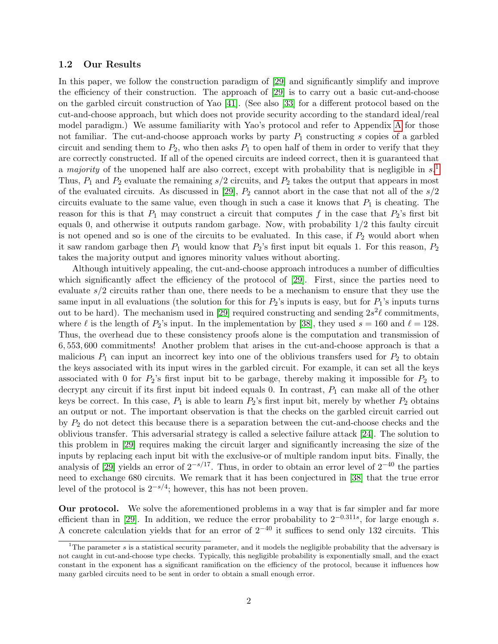#### <span id="page-2-1"></span>1.2 Our Results

In this paper, we follow the construction paradigm of [\[29\]](#page-30-2) and significantly simplify and improve the efficiency of their construction. The approach of [\[29\]](#page-30-2) is to carry out a basic cut-and-choose on the garbled circuit construction of Yao [\[41\]](#page-30-1). (See also [\[33\]](#page-30-5) for a different protocol based on the cut-and-choose approach, but which does not provide security according to the standard ideal/real model paradigm.) We assume familiarity with Yao's protocol and refer to Appendix [A](#page-31-0) for those not familiar. The cut-and-choose approach works by party  $P_1$  constructing s copies of a garbled circuit and sending them to  $P_2$ , who then asks  $P_1$  to open half of them in order to verify that they are correctly constructed. If all of the opened circuits are indeed correct, then it is guaranteed that a *majority* of the unopened half are also correct, except with probability that is negligible in  $s$ <sup>[1](#page-2-0)</sup>. Thus,  $P_1$  and  $P_2$  evaluate the remaining  $s/2$  circuits, and  $P_2$  takes the output that appears in most of the evaluated circuits. As discussed in [\[29\]](#page-30-2),  $P_2$  cannot abort in the case that not all of the  $s/2$ circuits evaluate to the same value, even though in such a case it knows that  $P_1$  is cheating. The reason for this is that  $P_1$  may construct a circuit that computes f in the case that  $P_2$ 's first bit equals 0, and otherwise it outputs random garbage. Now, with probability  $1/2$  this faulty circuit is not opened and so is one of the circuits to be evaluated. In this case, if  $P_2$  would abort when it saw random garbage then  $P_1$  would know that  $P_2$ 's first input bit equals 1. For this reason,  $P_2$ takes the majority output and ignores minority values without aborting.

Although intuitively appealing, the cut-and-choose approach introduces a number of difficulties which significantly affect the efficiency of the protocol of [\[29\]](#page-30-2). First, since the parties need to evaluate  $s/2$  circuits rather than one, there needs to be a mechanism to ensure that they use the same input in all evaluations (the solution for this for  $P_2$ 's inputs is easy, but for  $P_1$ 's inputs turns out to be hard). The mechanism used in [\[29\]](#page-30-2) required constructing and sending  $2s^2\ell$  commitments, where  $\ell$  is the length of  $P_2$ 's input. In the implementation by [\[38\]](#page-30-4), they used  $s = 160$  and  $\ell = 128$ . Thus, the overhead due to these consistency proofs alone is the computation and transmission of 6, 553, 600 commitments! Another problem that arises in the cut-and-choose approach is that a malicious  $P_1$  can input an incorrect key into one of the oblivious transfers used for  $P_2$  to obtain the keys associated with its input wires in the garbled circuit. For example, it can set all the keys associated with 0 for  $P_2$ 's first input bit to be garbage, thereby making it impossible for  $P_2$  to decrypt any circuit if its first input bit indeed equals 0. In contrast,  $P_1$  can make all of the other keys be correct. In this case,  $P_1$  is able to learn  $P_2$ 's first input bit, merely by whether  $P_2$  obtains an output or not. The important observation is that the checks on the garbled circuit carried out by  $P_2$  do not detect this because there is a separation between the cut-and-choose checks and the oblivious transfer. This adversarial strategy is called a selective failure attack [\[24\]](#page-29-4). The solution to this problem in [\[29\]](#page-30-2) requires making the circuit larger and significantly increasing the size of the inputs by replacing each input bit with the exclusive-or of multiple random input bits. Finally, the analysis of [\[29\]](#page-30-2) yields an error of  $2^{-s/17}$ . Thus, in order to obtain an error level of  $2^{-40}$  the parties need to exchange 680 circuits. We remark that it has been conjectured in [\[38\]](#page-30-4) that the true error level of the protocol is  $2^{-s/4}$ ; however, this has not been proven.

Our protocol. We solve the aforementioned problems in a way that is far simpler and far more efficient than in [\[29\]](#page-30-2). In addition, we reduce the error probability to  $2^{-0.311s}$ , for large enough s. A concrete calculation yields that for an error of  $2^{-40}$  it suffices to send only 132 circuits. This

<span id="page-2-0"></span><sup>&</sup>lt;sup>1</sup>The parameter s is a statistical security parameter, and it models the negligible probability that the adversary is not caught in cut-and-choose type checks. Typically, this negligible probability is exponentially small, and the exact constant in the exponent has a significant ramification on the efficiency of the protocol, because it influences how many garbled circuits need to be sent in order to obtain a small enough error.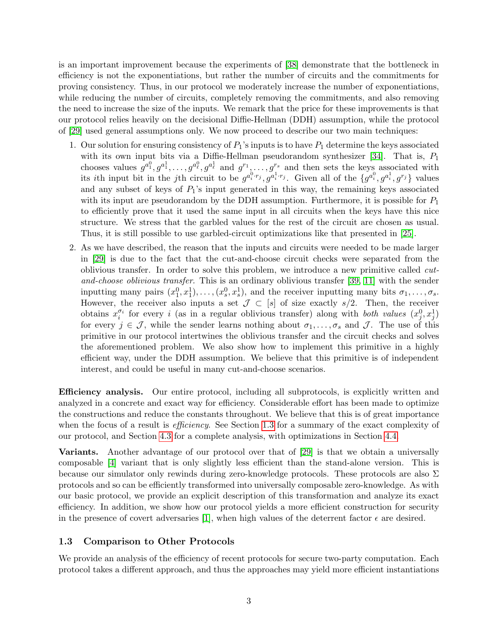is an important improvement because the experiments of [\[38\]](#page-30-4) demonstrate that the bottleneck in efficiency is not the exponentiations, but rather the number of circuits and the commitments for proving consistency. Thus, in our protocol we moderately increase the number of exponentiations, while reducing the number of circuits, completely removing the commitments, and also removing the need to increase the size of the inputs. We remark that the price for these improvements is that our protocol relies heavily on the decisional Diffie-Hellman (DDH) assumption, while the protocol of [\[29\]](#page-30-2) used general assumptions only. We now proceed to describe our two main techniques:

- 1. Our solution for ensuring consistency of  $P_1$ 's inputs is to have  $P_1$  determine the keys associated with its own input bits via a Diffie-Hellman pseudorandom synthesizer [\[34\]](#page-30-6). That is,  $P_1$ chooses values  $g^{a_1^0}, g^{a_1^1}, \ldots, g^{a_\ell^0}, g^{a_\ell^1}$  and  $g^{r_1}, \ldots, g^{r_s}$  and then sets the keys associated with its ith input bit in the jth circuit to be  $g^{a_i^0 \cdot r_j}, g^{a_i^1 \cdot r_j}$ . Given all of the  $\{g^{a_i^0}, g^{a_i^1}, g^{r_j}\}$  values and any subset of keys of  $P_1$ 's input generated in this way, the remaining keys associated with its input are pseudorandom by the DDH assumption. Furthermore, it is possible for  $P_1$ to efficiently prove that it used the same input in all circuits when the keys have this nice structure. We stress that the garbled values for the rest of the circuit are chosen as usual. Thus, it is still possible to use garbled-circuit optimizations like that presented in [\[25\]](#page-30-7).
- 2. As we have described, the reason that the inputs and circuits were needed to be made larger in [\[29\]](#page-30-2) is due to the fact that the cut-and-choose circuit checks were separated from the oblivious transfer. In order to solve this problem, we introduce a new primitive called cutand-choose oblivious transfer. This is an ordinary oblivious transfer [\[39,](#page-30-8) [11\]](#page-29-5) with the sender inputting many pairs  $(x_1^0, x_1^1), \ldots, (x_s^0, x_s^1)$ , and the receiver inputting many bits  $\sigma_1, \ldots, \sigma_s$ . However, the receiver also inputs a set  $\mathcal{J} \subset [s]$  of size exactly  $s/2$ . Then, the receiver obtains  $x_i^{\sigma_i}$  for every i (as in a regular oblivious transfer) along with *both values*  $(x_j^0, x_j^1)$ for every  $j \in \mathcal{J}$ , while the sender learns nothing about  $\sigma_1, \ldots, \sigma_s$  and  $\mathcal{J}$ . The use of this primitive in our protocol intertwines the oblivious transfer and the circuit checks and solves the aforementioned problem. We also show how to implement this primitive in a highly efficient way, under the DDH assumption. We believe that this primitive is of independent interest, and could be useful in many cut-and-choose scenarios.

Efficiency analysis. Our entire protocol, including all subprotocols, is explicitly written and analyzed in a concrete and exact way for efficiency. Considerable effort has been made to optimize the constructions and reduce the constants throughout. We believe that this is of great importance when the focus of a result is *efficiency*. See Section [1.3](#page-3-0) for a summary of the exact complexity of our protocol, and Section [4.3](#page-23-0) for a complete analysis, with optimizations in Section [4.4.](#page-24-0)

Variants. Another advantage of our protocol over that of [\[29\]](#page-30-2) is that we obtain a universally composable [\[4\]](#page-28-2) variant that is only slightly less efficient than the stand-alone version. This is because our simulator only rewinds during zero-knowledge protocols. These protocols are also  $\Sigma$ protocols and so can be efficiently transformed into universally composable zero-knowledge. As with our basic protocol, we provide an explicit description of this transformation and analyze its exact efficiency. In addition, we show how our protocol yields a more efficient construction for security in the presence of covert adversaries [\[1\]](#page-28-3), when high values of the deterrent factor  $\epsilon$  are desired.

#### <span id="page-3-0"></span>1.3 Comparison to Other Protocols

We provide an analysis of the efficiency of recent protocols for secure two-party computation. Each protocol takes a different approach, and thus the approaches may yield more efficient instantiations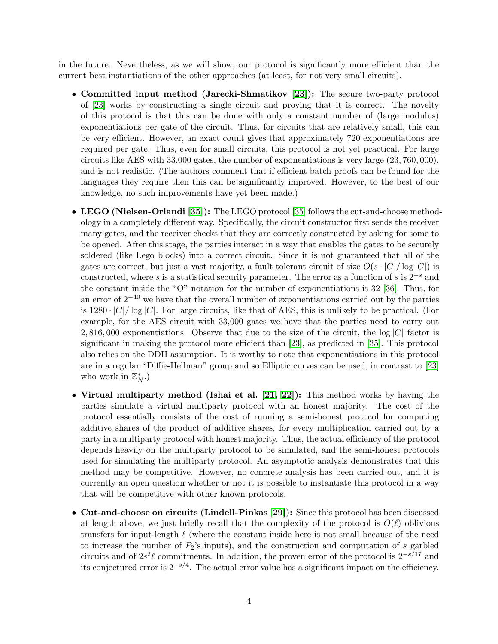in the future. Nevertheless, as we will show, our protocol is significantly more efficient than the current best instantiations of the other approaches (at least, for not very small circuits).

- Committed input method (Jarecki-Shmatikov [\[23\]](#page-29-2)): The secure two-party protocol of [\[23\]](#page-29-2) works by constructing a single circuit and proving that it is correct. The novelty of this protocol is that this can be done with only a constant number of (large modulus) exponentiations per gate of the circuit. Thus, for circuits that are relatively small, this can be very efficient. However, an exact count gives that approximately 720 exponentiations are required per gate. Thus, even for small circuits, this protocol is not yet practical. For large circuits like AES with 33,000 gates, the number of exponentiations is very large (23, 760, 000), and is not realistic. (The authors comment that if efficient batch proofs can be found for the languages they require then this can be significantly improved. However, to the best of our knowledge, no such improvements have yet been made.)
- LEGO (Nielsen-Orlandi [\[35\]](#page-30-3)): The LEGO protocol [\[35\]](#page-30-3) follows the cut-and-choose methodology in a completely different way. Specifically, the circuit constructor first sends the receiver many gates, and the receiver checks that they are correctly constructed by asking for some to be opened. After this stage, the parties interact in a way that enables the gates to be securely soldered (like Lego blocks) into a correct circuit. Since it is not guaranteed that all of the gates are correct, but just a vast majority, a fault tolerant circuit of size  $O(s \cdot |C|/\log |C|)$  is constructed, where s is a statistical security parameter. The error as a function of s is  $2^{-s}$  and the constant inside the "O" notation for the number of exponentiations is 32 [\[36\]](#page-30-9). Thus, for an error of  $2^{-40}$  we have that the overall number of exponentiations carried out by the parties is  $1280 \cdot |C|/\log |C|$ . For large circuits, like that of AES, this is unlikely to be practical. (For example, for the AES circuit with 33,000 gates we have that the parties need to carry out 2, 816, 000 exponentiations. Observe that due to the size of the circuit, the  $log |C|$  factor is significant in making the protocol more efficient than [\[23\]](#page-29-2), as predicted in [\[35\]](#page-30-3). This protocol also relies on the DDH assumption. It is worthy to note that exponentiations in this protocol are in a regular "Diffie-Hellman" group and so Elliptic curves can be used, in contrast to [\[23\]](#page-29-2) who work in  $\mathbb{Z}_N^*$ .)
- Virtual multiparty method (Ishai et al. [\[21,](#page-29-3) [22\]](#page-29-6)): This method works by having the parties simulate a virtual multiparty protocol with an honest majority. The cost of the protocol essentially consists of the cost of running a semi-honest protocol for computing additive shares of the product of additive shares, for every multiplication carried out by a party in a multiparty protocol with honest majority. Thus, the actual efficiency of the protocol depends heavily on the multiparty protocol to be simulated, and the semi-honest protocols used for simulating the multiparty protocol. An asymptotic analysis demonstrates that this method may be competitive. However, no concrete analysis has been carried out, and it is currently an open question whether or not it is possible to instantiate this protocol in a way that will be competitive with other known protocols.
- Cut-and-choose on circuits (Lindell-Pinkas [\[29\]](#page-30-2)): Since this protocol has been discussed at length above, we just briefly recall that the complexity of the protocol is  $O(\ell)$  oblivious transfers for input-length  $\ell$  (where the constant inside here is not small because of the need to increase the number of  $P_2$ 's inputs), and the construction and computation of s garbled circuits and of  $2s^2\ell$  commitments. In addition, the proven error of the protocol is  $2^{-s/17}$  and its conjectured error is  $2^{-s/4}$ . The actual error value has a significant impact on the efficiency.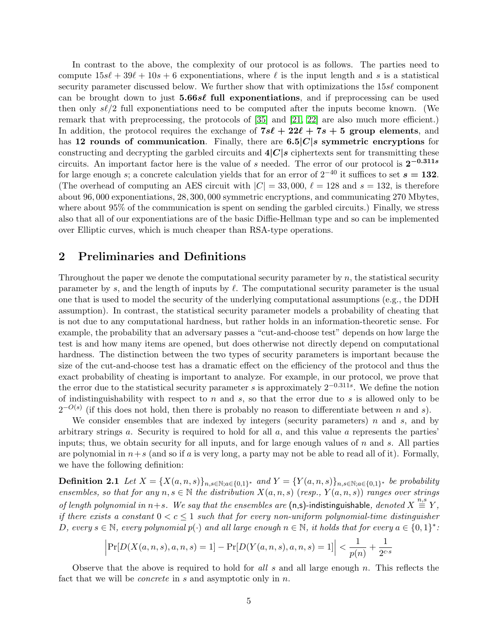In contrast to the above, the complexity of our protocol is as follows. The parties need to compute  $15s\ell + 39\ell + 10s + 6$  exponentiations, where  $\ell$  is the input length and s is a statistical security parameter discussed below. We further show that with optimizations the  $15s\ell$  component can be brought down to just  $5.66$ s $\ell$  full exponentiations, and if preprocessing can be used then only  $s\ell/2$  full exponentiations need to be computed after the inputs become known. (We remark that with preprocessing, the protocols of [\[35\]](#page-30-3) and [\[21,](#page-29-3) [22\]](#page-29-6) are also much more efficient.) In addition, the protocol requires the exchange of  $7s\ell + 22\ell + 7s + 5$  group elements, and has 12 rounds of communication. Finally, there are  $6.5|C|s$  symmetric encryptions for constructing and decrypting the garbled circuits and  $4|C|s$  ciphertexts sent for transmitting these circuits. An important factor here is the value of s needed. The error of our protocol is  $2^{-0.311s}$ for large enough s; a concrete calculation yields that for an error of  $2^{-40}$  it suffices to set  $s = 132$ . (The overhead of computing an AES circuit with  $|C| = 33,000, \ell = 128$  and  $s = 132$ , is therefore about 96, 000 exponentiations, 28, 300, 000 symmetric encryptions, and communicating 270 Mbytes, where about 95% of the communication is spent on sending the garbled circuits.) Finally, we stress also that all of our exponentiations are of the basic Diffie-Hellman type and so can be implemented over Elliptic curves, which is much cheaper than RSA-type operations.

## 2 Preliminaries and Definitions

Throughout the paper we denote the computational security parameter by  $n$ , the statistical security parameter by s, and the length of inputs by  $\ell$ . The computational security parameter is the usual one that is used to model the security of the underlying computational assumptions (e.g., the DDH assumption). In contrast, the statistical security parameter models a probability of cheating that is not due to any computational hardness, but rather holds in an information-theoretic sense. For example, the probability that an adversary passes a "cut-and-choose test" depends on how large the test is and how many items are opened, but does otherwise not directly depend on computational hardness. The distinction between the two types of security parameters is important because the size of the cut-and-choose test has a dramatic effect on the efficiency of the protocol and thus the exact probability of cheating is important to analyze. For example, in our protocol, we prove that the error due to the statistical security parameter s is approximately  $2^{-0.311s}$ . We define the notion of indistinguishability with respect to n and s, so that the error due to s is allowed only to be  $2^{-O(s)}$  (if this does not hold, then there is probably no reason to differentiate between n and s).

We consider ensembles that are indexed by integers (security parameters)  $n$  and  $s$ , and by arbitrary strings a. Security is required to hold for all a, and this value a represents the parties' inputs; thus, we obtain security for all inputs, and for large enough values of  $n$  and  $s$ . All parties are polynomial in  $n+s$  (and so if a is very long, a party may not be able to read all of it). Formally, we have the following definition:

**Definition 2.1** Let  $X = \{X(a, n, s)\}_{n, s \in \mathbb{N}; a \in \{0, 1\}^*}$  and  $Y = \{Y(a, n, s)\}_{n, s \in \mathbb{N}; a \in \{0, 1\}^*}$  be probability ensembles, so that for any  $n, s \in \mathbb{N}$  the distribution  $X(a, n, s)$  (resp.,  $Y(a, n, s)$ ) ranges over strings of length polynomial in  $n+s$ . We say that the ensembles are  $(n,s)$ -indistinguishable, denoted  $X \stackrel{n,s}{\equiv} Y$ , if there exists a constant  $0 < c \leq 1$  such that for every non-uniform polynomial-time distinguisher D, every  $s \in \mathbb{N}$ , every polynomial  $p(\cdot)$  and all large enough  $n \in \mathbb{N}$ , it holds that for every  $a \in \{0,1\}^*$ :

$$
\left| \Pr[D(X(a, n, s), a, n, s) = 1] - \Pr[D(Y(a, n, s), a, n, s) = 1] \right| < \frac{1}{p(n)} + \frac{1}{2^{c \cdot s}}
$$

Observe that the above is required to hold for all s and all large enough n. This reflects the fact that we will be *concrete* in s and asymptotic only in n.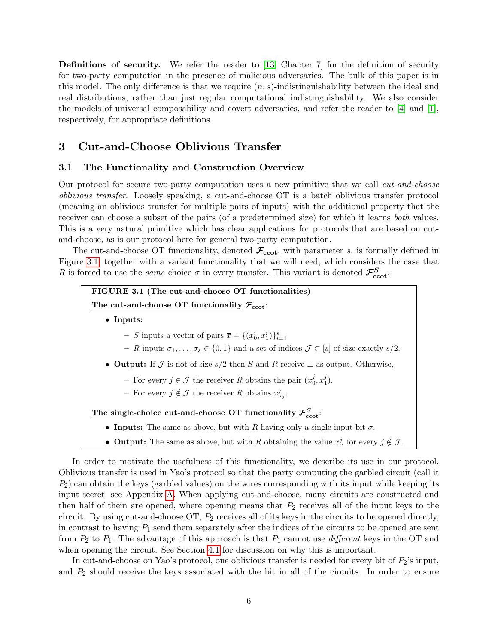**Definitions of security.** We refer the reader to [\[13,](#page-29-7) Chapter 7] for the definition of security for two-party computation in the presence of malicious adversaries. The bulk of this paper is in this model. The only difference is that we require  $(n, s)$ -indistinguishability between the ideal and real distributions, rather than just regular computational indistinguishability. We also consider the models of universal composability and covert adversaries, and refer the reader to [\[4\]](#page-28-2) and [\[1\]](#page-28-3), respectively, for appropriate definitions.

# 3 Cut-and-Choose Oblivious Transfer

#### 3.1 The Functionality and Construction Overview

Our protocol for secure two-party computation uses a new primitive that we call cut-and-choose oblivious transfer. Loosely speaking, a cut-and-choose OT is a batch oblivious transfer protocol (meaning an oblivious transfer for multiple pairs of inputs) with the additional property that the receiver can choose a subset of the pairs (of a predetermined size) for which it learns both values. This is a very natural primitive which has clear applications for protocols that are based on cutand-choose, as is our protocol here for general two-party computation.

The cut-and-choose OT functionality, denoted  $\mathcal{F}_{\text{ccot}}$ , with parameter s, is formally defined in Figure [3.1,](#page-6-0) together with a variant functionality that we will need, which considers the case that R is forced to use the *same* choice  $\sigma$  in every transfer. This variant is denoted  $\mathcal{F}^S_{\text{ccot}}$ .

<span id="page-6-0"></span>FIGURE 3.1 (The cut-and-choose OT functionalities) The cut-and-choose OT functionality  $\mathcal{F}_{\text{ccot}}$ : • Inputs: - S inputs a vector of pairs  $\bar{x} = \{(x_0^i, x_1^i)\}_{i=1}^s$ – R inputs  $\sigma_1, \ldots, \sigma_s \in \{0, 1\}$  and a set of indices  $\mathcal{J} \subset [s]$  of size exactly  $s/2$ . • Output: If  $\mathcal J$  is not of size  $s/2$  then S and R receive  $\perp$  as output. Otherwise, - For every  $j \in \mathcal{J}$  the receiver R obtains the pair  $(x_0^j, x_1^j)$ . - For every  $j \notin \mathcal{J}$  the receiver R obtains  $x_{\sigma_j}^j$ . The single-choice cut-and-choose OT functionality  $\mathcal{F}^S_{\text{ccot}}$ : • Inputs: The same as above, but with R having only a single input bit  $\sigma$ . • Output: The same as above, but with R obtaining the value  $x^j_\sigma$  for every  $j \notin \mathcal{J}$ .

In order to motivate the usefulness of this functionality, we describe its use in our protocol. Oblivious transfer is used in Yao's protocol so that the party computing the garbled circuit (call it  $P_2$ ) can obtain the keys (garbled values) on the wires corresponding with its input while keeping its input secret; see Appendix [A.](#page-31-0) When applying cut-and-choose, many circuits are constructed and then half of them are opened, where opening means that  $P_2$  receives all of the input keys to the circuit. By using cut-and-choose  $OT$ ,  $P_2$  receives all of its keys in the circuits to be opened directly, in contrast to having  $P_1$  send them separately after the indices of the circuits to be opened are sent from  $P_2$  to  $P_1$ . The advantage of this approach is that  $P_1$  cannot use *different* keys in the OT and when opening the circuit. See Section [4.1](#page-14-0) for discussion on why this is important.

In cut-and-choose on Yao's protocol, one oblivious transfer is needed for every bit of  $P_2$ 's input, and  $P_2$  should receive the keys associated with the bit in all of the circuits. In order to ensure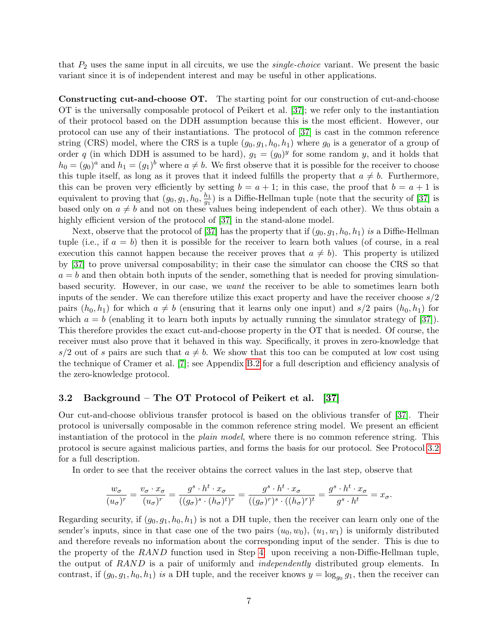that  $P_2$  uses the same input in all circuits, we use the *single-choice* variant. We present the basic variant since it is of independent interest and may be useful in other applications.

Constructing cut-and-choose OT. The starting point for our construction of cut-and-choose OT is the universally composable protocol of Peikert et al. [\[37\]](#page-30-10); we refer only to the instantiation of their protocol based on the DDH assumption because this is the most efficient. However, our protocol can use any of their instantiations. The protocol of [\[37\]](#page-30-10) is cast in the common reference string (CRS) model, where the CRS is a tuple  $(g_0, g_1, h_0, h_1)$  where  $g_0$  is a generator of a group of order q (in which DDH is assumed to be hard),  $g_1 = (g_0)^y$  for some random y, and it holds that  $h_0 = (g_0)^a$  and  $h_1 = (g_1)^b$  where  $a \neq b$ . We first observe that it is possible for the receiver to choose this tuple itself, as long as it proves that it indeed fulfills the property that  $a \neq b$ . Furthermore, this can be proven very efficiently by setting  $b = a + 1$ ; in this case, the proof that  $b = a + 1$  is equivalent to proving that  $(g_0, g_1, h_0, \frac{h_1}{g_1})$  $\frac{h_1}{g_1}$ ) is a Diffie-Hellman tuple (note that the security of [\[37\]](#page-30-10) is based only on  $a \neq b$  and not on these values being independent of each other). We thus obtain a highly efficient version of the protocol of [\[37\]](#page-30-10) in the stand-alone model.

Next, observe that the protocol of [\[37\]](#page-30-10) has the property that if  $(g_0, g_1, h_0, h_1)$  is a Diffie-Hellman tuple (i.e., if  $a = b$ ) then it is possible for the receiver to learn both values (of course, in a real execution this cannot happen because the receiver proves that  $a \neq b$ ). This property is utilized by [\[37\]](#page-30-10) to prove universal composability; in their case the simulator can choose the CRS so that  $a = b$  and then obtain both inputs of the sender, something that is needed for proving simulationbased security. However, in our case, we want the receiver to be able to sometimes learn both inputs of the sender. We can therefore utilize this exact property and have the receiver choose  $s/2$ pairs  $(h_0, h_1)$  for which  $a \neq b$  (ensuring that it learns only one input) and  $s/2$  pairs  $(h_0, h_1)$  for which  $a = b$  (enabling it to learn both inputs by actually running the simulator strategy of [\[37\]](#page-30-10)). This therefore provides the exact cut-and-choose property in the OT that is needed. Of course, the receiver must also prove that it behaved in this way. Specifically, it proves in zero-knowledge that  $s/2$  out of s pairs are such that  $a \neq b$ . We show that this too can be computed at low cost using the technique of Cramer et al. [\[7\]](#page-28-4); see Appendix [B.2](#page-33-0) for a full description and efficiency analysis of the zero-knowledge protocol.

### 3.2 Background – The OT Protocol of Peikert et al. [\[37\]](#page-30-10)

Our cut-and-choose oblivious transfer protocol is based on the oblivious transfer of [\[37\]](#page-30-10). Their protocol is universally composable in the common reference string model. We present an efficient instantiation of the protocol in the *plain model*, where there is no common reference string. This protocol is secure against malicious parties, and forms the basis for our protocol. See Protocol [3.2](#page-8-0) for a full description.

In order to see that the receiver obtains the correct values in the last step, observe that

$$
\frac{w_{\sigma}}{(u_{\sigma})^r} = \frac{v_{\sigma} \cdot x_{\sigma}}{(u_{\sigma})^r} = \frac{g^s \cdot h^t \cdot x_{\sigma}}{((g_{\sigma})^s \cdot (h_{\sigma})^t)^r} = \frac{g^s \cdot h^t \cdot x_{\sigma}}{((g_{\sigma})^r)^s \cdot ((h_{\sigma})^r)^t} = \frac{g^s \cdot h^t \cdot x_{\sigma}}{g^s \cdot h^t} = x_{\sigma}.
$$

Regarding security, if  $(g_0, g_1, h_0, h_1)$  is not a DH tuple, then the receiver can learn only one of the sender's inputs, since in that case one of the two pairs  $(u_0, w_0)$ ,  $(u_1, w_1)$  is uniformly distributed and therefore reveals no information about the corresponding input of the sender. This is due to the property of the RAND function used in Step [4:](#page-8-1) upon receiving a non-Diffie-Hellman tuple, the output of RAND is a pair of uniformly and *independently* distributed group elements. In contrast, if  $(g_0, g_1, h_0, h_1)$  is a DH tuple, and the receiver knows  $y = \log_{g_0} g_1$ , then the receiver can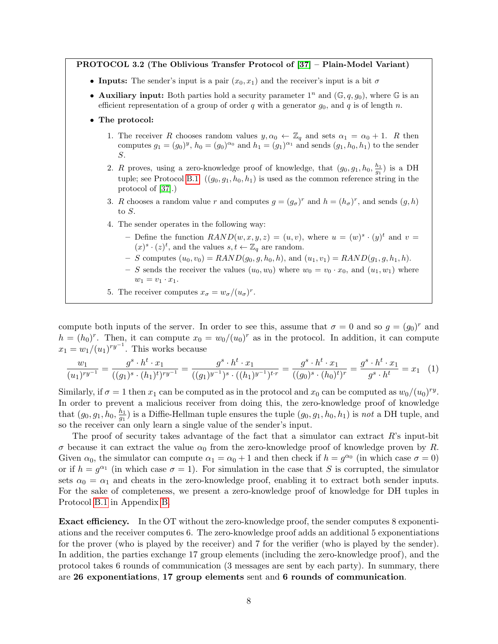<span id="page-8-0"></span>PROTOCOL 3.2 (The Oblivious Transfer Protocol of [\[37\]](#page-30-10) – Plain-Model Variant)

- Inputs: The sender's input is a pair  $(x_0, x_1)$  and the receiver's input is a bit  $\sigma$
- Auxiliary input: Both parties hold a security parameter  $1^n$  and  $(\mathbb{G}, q, g_0)$ , where  $\mathbb{G}$  is an efficient representation of a group of order q with a generator  $g_0$ , and q is of length n.
- <span id="page-8-1"></span>• The protocol:
	- 1. The receiver R chooses random values  $y, \alpha_0 \leftarrow \mathbb{Z}_q$  and sets  $\alpha_1 = \alpha_0 + 1$ . R then computes  $g_1 = (g_0)^y$ ,  $h_0 = (g_0)^{\alpha_0}$  and  $h_1 = (g_1)^{\alpha_1}$  and sends  $(g_1, h_0, h_1)$  to the sender S.
	- 2. R proves, using a zero-knowledge proof of knowledge, that  $(g_0, g_1, h_0, \frac{h_1}{g_1})$  is a DH tuple; see Protocol [B.1.](#page-33-1)  $((g_0, g_1, h_0, h_1)$  is used as the common reference string in the protocol of [\[37\]](#page-30-10).)
	- 3. R chooses a random value r and computes  $g = (g_{\sigma})^r$  and  $h = (h_{\sigma})^r$ , and sends  $(g, h)$ to S.
	- 4. The sender operates in the following way:
		- Define the function  $RAND(w, x, y, z) = (u, v)$ , where  $u = (w)^s \cdot (y)^t$  and  $v =$  $(x)^s \cdot (z)^t$ , and the values  $s, t \leftarrow \mathbb{Z}_q$  are random.
		- $-S$  computes  $(u_0, v_0) = RAND(g_0, g, h_0, h)$ , and  $(u_1, v_1) = RAND(g_1, g, h_1, h)$ .
		- S sends the receiver the values  $(u_0, w_0)$  where  $w_0 = v_0 \cdot x_0$ , and  $(u_1, w_1)$  where  $w_1 = v_1 \cdot x_1.$
	- 5. The receiver computes  $x_{\sigma} = w_{\sigma} / (u_{\sigma})^r$ .

compute both inputs of the server. In order to see this, assume that  $\sigma = 0$  and so  $g = (g_0)^r$  and  $h = (h_0)^r$ . Then, it can compute  $x_0 = w_0/(u_0)^r$  as in the protocol. In addition, it can compute  $x_1 = w_1/(u_1)^{ry^{-1}}$ . This works because

<span id="page-8-2"></span>
$$
\frac{w_1}{(u_1)^{ry^{-1}}} = \frac{g^s \cdot h^t \cdot x_1}{((g_1)^s \cdot (h_1)^t)^{ry^{-1}}} = \frac{g^s \cdot h^t \cdot x_1}{((g_1)^{y^{-1}})^s \cdot ((h_1)^{y^{-1}})^{t \cdot r}} = \frac{g^s \cdot h^t \cdot x_1}{((g_0)^s \cdot (h_0)^t)^r} = \frac{g^s \cdot h^t \cdot x_1}{g^s \cdot h^t} = x_1 \tag{1}
$$

Similarly, if  $\sigma = 1$  then  $x_1$  can be computed as in the protocol and  $x_0$  can be computed as  $w_0/(u_0)^{ry}$ . In order to prevent a malicious receiver from doing this, the zero-knowledge proof of knowledge that  $(g_0, g_1, h_0, \frac{h_1}{g_1})$  $\frac{h_1}{g_1}$ ) is a Diffie-Hellman tuple ensures the tuple  $(g_0, g_1, h_0, h_1)$  is not a DH tuple, and so the receiver can only learn a single value of the sender's input.

The proof of security takes advantage of the fact that a simulator can extract  $R$ 's input-bit σ because it can extract the value  $\alpha_0$  from the zero-knowledge proof of knowledge proven by R. Given  $\alpha_0$ , the simulator can compute  $\alpha_1 = \alpha_0 + 1$  and then check if  $h = g^{\alpha_0}$  (in which case  $\sigma = 0$ ) or if  $h = g^{\alpha_1}$  (in which case  $\sigma = 1$ ). For simulation in the case that S is corrupted, the simulator sets  $\alpha_0 = \alpha_1$  and cheats in the zero-knowledge proof, enabling it to extract both sender inputs. For the sake of completeness, we present a zero-knowledge proof of knowledge for DH tuples in Protocol [B.1](#page-33-1) in Appendix [B.](#page-32-0)

Exact efficiency. In the OT without the zero-knowledge proof, the sender computes 8 exponentiations and the receiver computes 6. The zero-knowledge proof adds an additional 5 exponentiations for the prover (who is played by the receiver) and 7 for the verifier (who is played by the sender). In addition, the parties exchange 17 group elements (including the zero-knowledge proof), and the protocol takes 6 rounds of communication (3 messages are sent by each party). In summary, there are 26 exponentiations, 17 group elements sent and 6 rounds of communication.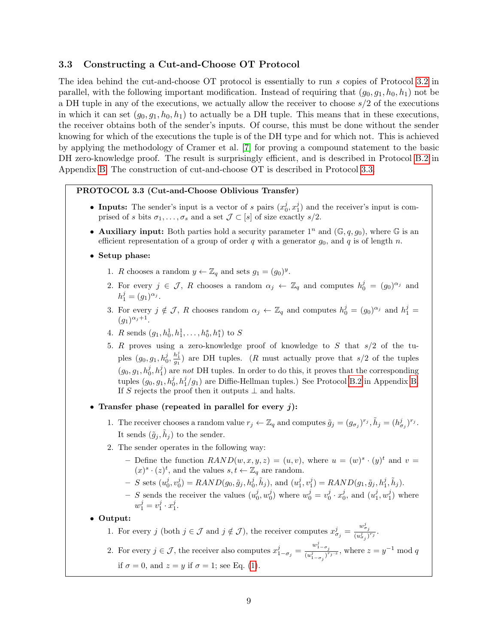#### 3.3 Constructing a Cut-and-Choose OT Protocol

The idea behind the cut-and-choose OT protocol is essentially to run s copies of Protocol [3.2](#page-8-0) in parallel, with the following important modification. Instead of requiring that  $(g_0, g_1, h_0, h_1)$  not be a DH tuple in any of the executions, we actually allow the receiver to choose  $s/2$  of the executions in which it can set  $(q_0, q_1, h_0, h_1)$  to actually be a DH tuple. This means that in these executions, the receiver obtains both of the sender's inputs. Of course, this must be done without the sender knowing for which of the executions the tuple is of the DH type and for which not. This is achieved by applying the methodology of Cramer et al. [\[7\]](#page-28-4) for proving a compound statement to the basic DH zero-knowledge proof. The result is surprisingly efficient, and is described in Protocol [B.2](#page-34-0) in Appendix [B.](#page-32-0) The construction of cut-and-choose OT is described in Protocol [3.3.](#page-9-0)

#### <span id="page-9-0"></span>PROTOCOL 3.3 (Cut-and-Choose Oblivious Transfer)

- Inputs: The sender's input is a vector of s pairs  $(x_0^j, x_1^j)$  and the receiver's input is comprised of s bits  $\sigma_1, \ldots, \sigma_s$  and a set  $\mathcal{J} \subset [s]$  of size exactly  $s/2$ .
- Auxiliary input: Both parties hold a security parameter  $1^n$  and  $(\mathbb{G}, q, g_0)$ , where  $\mathbb{G}$  is an efficient representation of a group of order q with a generator  $g_0$ , and q is of length n.

#### • Setup phase:

- 1. R chooses a random  $y \leftarrow \mathbb{Z}_q$  and sets  $g_1 = (g_0)^y$ .
- 2. For every  $j \in \mathcal{J}$ , R chooses a random  $\alpha_j \leftarrow \mathbb{Z}_q$  and computes  $h_0^j = (g_0)^{\alpha_j}$  and  $h_1^j = (g_1)^{\alpha_j}.$
- 3. For every  $j \notin \mathcal{J}$ , R chooses random  $\alpha_j \leftarrow \mathbb{Z}_q$  and computes  $h_0^j = (g_0)^{\alpha_j}$  and  $h_1^j =$  $(g_1)^{\alpha_j+1}.$
- 4. R sends  $(g_1, h_0^1, h_1^1, \ldots, h_0^s, h_1^s)$  to S
- 5. R proves using a zero-knowledge proof of knowledge to S that s/2 of the tuples  $(g_0, g_1, h_0^j, \frac{h_1^j}{g_1})$  are DH tuples. (R must actually prove that  $s/2$  of the tuples  $(g_0, g_1, h_0^j, h_1^j)$  are not DH tuples. In order to do this, it proves that the corresponding tuples  $(g_0, g_1, h_0^j, h_1^j/g_1)$  are Diffie-Hellman tuples.) See Protocol [B.2](#page-34-0) in Appendix [B.](#page-32-0) If S rejects the proof then it outputs  $\perp$  and halts.
- <span id="page-9-1"></span>• Transfer phase (repeated in parallel for every  $j$ ):
	- 1. The receiver chooses a random value  $r_j \leftarrow \mathbb{Z}_q$  and computes  $\tilde{g}_j = (g_{\sigma_j})^{r_j}$ ,  $\tilde{h}_j = (h_{\sigma_j}^j)^{r_j}$ . It sends  $(\tilde{g}_j, \tilde{h}_j)$  to the sender.
	- 2. The sender operates in the following way:
		- Define the function  $RAND(w, x, y, z) = (u, v)$ , where  $u = (w)^s \cdot (y)^t$  and  $v =$  $(x)^s \cdot (z)^t$ , and the values  $s, t \leftarrow \mathbb{Z}_q$  are random.
		- $-S$  sets  $(u_0^j, v_0^j) = RAND(g_0, \tilde{g}_j, h_0^j, \tilde{h}_j)$ , and  $(u_1^j, v_1^j) = RAND(g_1, \tilde{g}_j, h_1^j, \tilde{h}_j)$ .
		- S sends the receiver the values  $(u_0^j, w_0^j)$  where  $w_0^j = v_0^j \cdot x_0^j$ , and  $(u_1^j, w_1^j)$  where  $w_1^j = v_1^j \cdot x_1^j.$

#### • Output:

- 1. For every j (both  $j \in \mathcal{J}$  and  $j \notin \mathcal{J}$ ), the receiver computes  $x_{\sigma_j}^j = \frac{w_{\sigma_j}^j}{(w_{\sigma_j}^j)^j}$  $\frac{\sigma_j}{(u_{\sigma_j}^j)^{r_j}}$ .
- 2. For every  $j \in \mathcal{J}$ , the receiver also computes  $x_{1-\sigma_j}^j = \frac{w_{1-\sigma_j}^j}{(u_1^j v_1^j)}$  $\frac{d_1-\sigma_j}{(u_{1-\sigma_j}^j)^{r_j}z}$ , where  $z=y^{-1} \mod q$ if  $\sigma = 0$ , and  $z = y$  if  $\sigma = 1$ ; see Eq. [\(1\)](#page-8-2).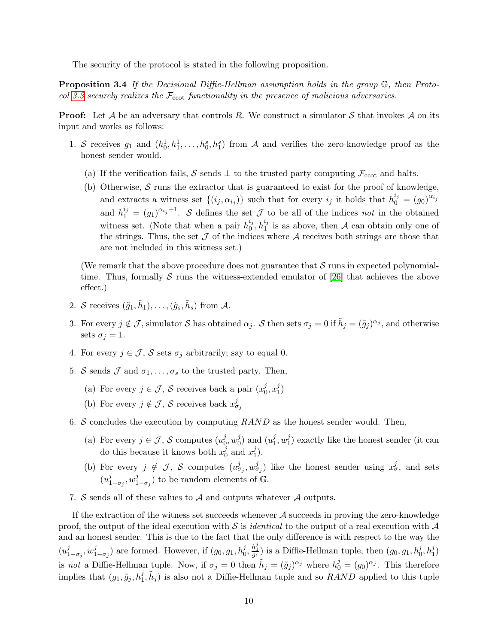The security of the protocol is stated in the following proposition.

<span id="page-10-0"></span>**Proposition 3.4** If the Decisional Diffie-Hellman assumption holds in the group  $\mathbb{G}$ , then Proto-col [3.3](#page-9-0) securely realizes the  $\mathcal{F}_{\text{ccot}}$  functionality in the presence of malicious adversaries.

**Proof:** Let  $A$  be an adversary that controls R. We construct a simulator S that invokes  $A$  on its input and works as follows:

- 1. S receives  $g_1$  and  $(h_0^1, h_1^1, \ldots, h_0^s, h_1^s)$  from A and verifies the zero-knowledge proof as the honest sender would.
	- (a) If the verification fails, S sends  $\perp$  to the trusted party computing  $\mathcal{F}_{\text{ccot}}$  and halts.
	- (b) Otherwise,  $S$  runs the extractor that is guaranteed to exist for the proof of knowledge, and extracts a witness set  $\{(i_j, \alpha_{i_j})\}$  such that for every  $i_j$  it holds that  $h_0^{i_j} = (g_0)^{\alpha_{i_j}}$ and  $h_1^{i_j} = (g_1)^{\alpha_{i_j}+1}$ . S defines the set J to be all of the indices not in the obtained witness set. (Note that when a pair  $h_0^{i_j}$  $i_j$ ,  $h_1^{i_j}$  is as above, then A can obtain only one of the strings. Thus, the set  $\mathcal J$  of the indices where  $\mathcal A$  receives both strings are those that are not included in this witness set.)

(We remark that the above procedure does not guarantee that  $\mathcal S$  runs in expected polynomial-time. Thus, formally S runs the witness-extended emulator of [\[26\]](#page-30-11) that achieves the above effect.)

- 2. S receives  $(\tilde{g}_1, \tilde{h}_1), \ldots, (\tilde{g}_s, \tilde{h}_s)$  from A.
- 3. For every  $j \notin \mathcal{J}$ , simulator  $\mathcal S$  has obtained  $\alpha_j$ .  $\mathcal S$  then sets  $\sigma_j = 0$  if  $\tilde h_j = (\tilde g_j)^{\alpha_j}$ , and otherwise sets  $\sigma_j = 1$ .
- 4. For every  $j \in \mathcal{J}, \mathcal{S}$  sets  $\sigma_j$  arbitrarily; say to equal 0.
- 5. S sends J and  $\sigma_1, \ldots, \sigma_s$  to the trusted party. Then,
	- (a) For every  $j \in \mathcal{J}$ , S receives back a pair  $(x_0^j)$  $j\atop 0,x_1^j$  $\binom{J}{1}$
	- (b) For every  $j \notin \mathcal{J}$ , S receives back  $x_{\sigma_j}^j$
- 6. S concludes the execution by computing  $RAND$  as the honest sender would. Then,
	- (a) For every  $j \in \mathcal{J}$ , S computes  $(u_0^j)$  $_{0}^{j},w_{0}^{j}$  $_0^j$ ) and  $(u_1^j)$  $j, w_1^j$  $_{1}^{j}$ ) exactly like the honest sender (it can do this because it knows both  $x_0^j$  $\check{j}$  and  $x_1^j$  $\binom{j}{1}$ .
	- (b) For every  $j \notin \mathcal{J}$ , S computes  $(u^j_{\sigma_j}, w^j_{\sigma_j})$  like the honest sender using  $x^j_{\sigma_j}$ , and sets  $(u_1^j$  $_{1-\sigma_{j}}^{j},w_{1}^{j}$  $(\frac{j}{1-\sigma_j})$  to be random elements of  $\mathbb{G}$ .
- 7.  $S$  sends all of these values to  $A$  and outputs whatever  $A$  outputs.

If the extraction of the witness set succeeds whenever  $A$  succeeds in proving the zero-knowledge proof, the output of the ideal execution with S is *identical* to the output of a real execution with  $\mathcal A$ and an honest sender. This is due to the fact that the only difference is with respect to the way the  $(u_1^j$  $_{1-\sigma_{j}}^{j},w_{1}^{j}$  $j_{1-\sigma_j}$ ) are formed. However, if  $(g_0, g_1, h_0^j, \frac{h_1^j}{g_1})$  is a Diffie-Hellman tuple, then  $(g_0, g_1, h_0^j, h_1^j)$ is not a Diffie-Hellman tuple. Now, if  $\sigma_j = 0$  then  $\tilde{h}_j = (\tilde{g}_j)^{\alpha_j}$  where  $h_0^j = (g_0)^{\alpha_j}$ . This therefore implies that  $(g_1, \tilde{g}_j, h_1^j, \tilde{h}_j)$  is also not a Diffie-Hellman tuple and so  $RAND$  applied to this tuple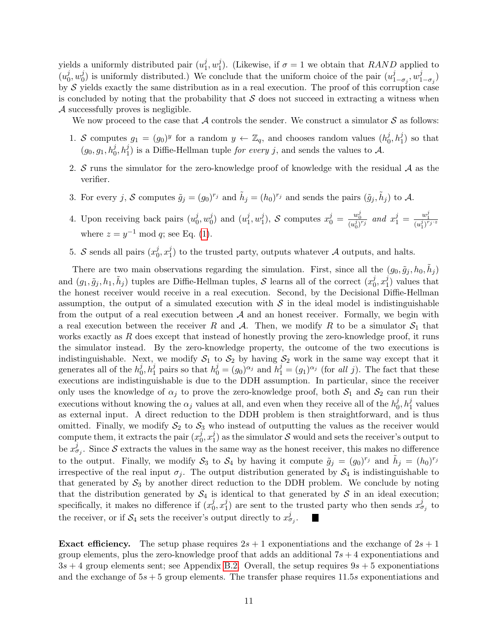yields a uniformly distributed pair  $(u_1^j)$  $j, w_1^j$ <sup>2</sup><sub>1</sub>). (Likewise, if  $\sigma = 1$  we obtain that *RAND* applied to  $(u_0^j)$  $j\over 0,w_0^j$  $\eta^{j}_{0}$ ) is uniformly distributed.) We conclude that the uniform choice of the pair  $(u_1^j)$  $_{1-\sigma_{j}}^{j},w_{1}^{j}$  $_{1-\sigma_{j}}^{j})$ by  $S$  yields exactly the same distribution as in a real execution. The proof of this corruption case is concluded by noting that the probability that  $\mathcal S$  does not succeed in extracting a witness when A successfully proves is negligible.

We now proceed to the case that A controls the sender. We construct a simulator  $\mathcal S$  as follows:

- 1. S computes  $g_1 = (g_0)^y$  for a random  $y \leftarrow \mathbb{Z}_q$ , and chooses random values  $(h_0^j)$  $j_0, h_1^j$  so that  $(g_0, g_1, h_0^j, h_1^j)$  is a Diffie-Hellman tuple *for every j*, and sends the values to A.
- 2. S runs the simulator for the zero-knowledge proof of knowledge with the residual  $\mathcal A$  as the verifier.
- 3. For every j, S computes  $\tilde{g}_j = (g_0)^{r_j}$  and  $\tilde{h}_j = (h_0)^{r_j}$  and sends the pairs  $(\tilde{g}_j, \tilde{h}_j)$  to A.
- 4. Upon receiving back pairs  $(u_0^j)$  $_{0}^{j},w_{0}^{j}$  $_0^j$ ) and  $(u_1^j)$  $j_1^j,w_1^j$ *i*<sub>1</sub>), *S* computes  $x_0^j = \frac{w_0^j}{(u_0^j)^{r_j}}$  and  $x_1^j = \frac{w_1^j}{(u_1^j)^{r_j}}$ where  $z = y^{-1} \mod q$ ; see Eq. [\(1\)](#page-8-2).
- 5. S sends all pairs  $(x_0^j)$  $j\atop 0,x_1^j$  $\mathcal{L}_1^{\jmath}$  to the trusted party, outputs whatever  $\jmath$  outputs, and halts.

There are two main observations regarding the simulation. First, since all the  $(g_0, \tilde{g}_j, h_0, \tilde{h}_j)$ and  $(g_1, \tilde{g}_j, h_1, \tilde{h}_j)$  tuples are Diffie-Hellman tuples, S learns all of the correct  $(x_0^j$  $j\atop 0,x_1^j$  $_1^j$ ) values that the honest receiver would receive in a real execution. Second, by the Decisional Diffie-Hellman assumption, the output of a simulated execution with  $S$  in the ideal model is indistinguishable from the output of a real execution between  $A$  and an honest receiver. Formally, we begin with a real execution between the receiver R and A. Then, we modify R to be a simulator  $S_1$  that works exactly as  $R$  does except that instead of honestly proving the zero-knowledge proof, it runs the simulator instead. By the zero-knowledge property, the outcome of the two executions is indistinguishable. Next, we modify  $S_1$  to  $S_2$  by having  $S_2$  work in the same way except that it generates all of the  $h_0^j$  $b_0^j, h_1^j$  pairs so that  $h_0^j = (g_0)^{\alpha_j}$  and  $h_1^j = (g_1)^{\alpha_j}$  (for all j). The fact that these executions are indistinguishable is due to the DDH assumption. In particular, since the receiver only uses the knowledge of  $\alpha_j$  to prove the zero-knowledge proof, both  $S_1$  and  $S_2$  can run their executions without knowing the  $\alpha_j$  values at all, and even when they receive all of the  $h_0^j$  $j_0, h_1^j$  values as external input. A direct reduction to the DDH problem is then straightforward, and is thus omitted. Finally, we modify  $S_2$  to  $S_3$  who instead of outputting the values as the receiver would compute them, it extracts the pair  $(x_0^j)$  $j\atop 0,x_1^j$  $\binom{1}{1}$  as the simulator  $S$  would and sets the receiver's output to be  $x_{\sigma_j}^j$ . Since S extracts the values in the same way as the honest receiver, this makes no difference to the output. Finally, we modify  $S_3$  to  $S_4$  by having it compute  $\tilde{g}_j = (g_0)^{r_j}$  and  $\tilde{h}_j = (h_0)^{r_j}$ irrespective of the real input  $\sigma_j$ . The output distribution generated by  $S_4$  is indistinguishable to that generated by  $S_3$  by another direct reduction to the DDH problem. We conclude by noting that the distribution generated by  $S_4$  is identical to that generated by S in an ideal execution; specifically, it makes no difference if  $(x_0^j)$  $j\atop 0,x_1^j$  $j$ <sub>1</sub>) are sent to the trusted party who then sends  $x_{\sigma_j}^j$  to the receiver, or if  $S_4$  sets the receiver's output directly to  $x_{\sigma_j}^j$ .

**Exact efficiency.** The setup phase requires  $2s + 1$  exponentiations and the exchange of  $2s + 1$ group elements, plus the zero-knowledge proof that adds an additional  $7s + 4$  exponentiations and  $3s + 4$  group elements sent; see Appendix [B.2.](#page-33-0) Overall, the setup requires  $9s + 5$  exponentiations and the exchange of  $5s + 5$  group elements. The transfer phase requires 11.5s exponentiations and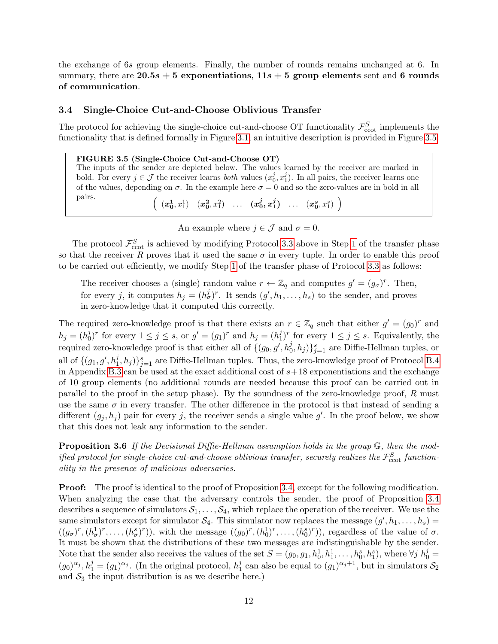the exchange of 6s group elements. Finally, the number of rounds remains unchanged at 6. In summary, there are  $20.5s + 5$  exponentiations,  $11s + 5$  group elements sent and 6 rounds of communication.

### <span id="page-12-1"></span>3.4 Single-Choice Cut-and-Choose Oblivious Transfer

The protocol for achieving the single-choice cut-and-choose OT functionality  $\mathcal{F}^S_{\text{cot}}$  implements the functionality that is defined formally in Figure [3.1;](#page-6-0) an intuitive description is provided in Figure [3.5.](#page-12-0)

<span id="page-12-0"></span>FIGURE 3.5 (Single-Choice Cut-and-Choose OT) The inputs of the sender are depicted below. The values learned by the receiver are marked in bold. For every  $j \in \mathcal{J}$  the receiver learns both values  $(x_0^j, x_1^j)$ . In all pairs, the receiver learns one of the values, depending on  $\sigma$ . In the example here  $\sigma = 0$  and so the zero-values are in bold in all pairs.  $(x_0^1, x_1^1)$   $(x_0^2, x_1^2)$  ...  $(x_0^j, x_1^j)$  ...  $(x_0^s, x_1^s)$  )

An example where  $j \in \mathcal{J}$  and  $\sigma = 0$ .

The protocol  $\mathcal{F}_{\text{ccot}}^S$  is achieved by modifying Protocol [3.3](#page-9-0) above in Step [1](#page-9-1) of the transfer phase so that the receiver R proves that it used the same  $\sigma$  in every tuple. In order to enable this proof to be carried out efficiently, we modify Step [1](#page-9-1) of the transfer phase of Protocol [3.3](#page-9-0) as follows:

The receiver chooses a (single) random value  $r \leftarrow \mathbb{Z}_q$  and computes  $g' = (g_{\sigma})^r$ . Then, for every j, it computes  $h_j = (h_{\sigma}^j)^r$ . It sends  $(g', h_1, \ldots, h_s)$  to the sender, and proves in zero-knowledge that it computed this correctly.

The required zero-knowledge proof is that there exists an  $r \in \mathbb{Z}_q$  such that either  $g' = (g_0)^r$  and  $h_j = (h_0^j)$  $j_0^j$ <sup>r</sup> for every  $1 \leq j \leq s$ , or  $g' = (g_1)^r$  and  $h_j = (h_1^j)$  $j \choose 1$ <sup>*r*</sup> for every  $1 \leq j \leq s$ . Equivalently, the required zero-knowledge proof is that either all of  $\{(g_0, g', h_0^j, h_j)\}_{j=1}^s$  are Diffie-Hellman tuples, or all of  $\{(g_1, g', h_1^j, h_j)\}_{j=1}^s$  are Diffie-Hellman tuples. Thus, the zero-knowledge proof of Protocol [B.4](#page-35-0) in Appendix [B.3](#page-35-1) can be used at the exact additional cost of  $s+18$  exponentiations and the exchange of 10 group elements (no additional rounds are needed because this proof can be carried out in parallel to the proof in the setup phase). By the soundness of the zero-knowledge proof, R must use the same  $\sigma$  in every transfer. The other difference in the protocol is that instead of sending a different  $(g_j, h_j)$  pair for every j, the receiver sends a single value g'. In the proof below, we show that this does not leak any information to the sender.

**Proposition 3.6** If the Decisional Diffie-Hellman assumption holds in the group  $\mathbb{G}$ , then the modified protocol for single-choice cut-and-choose oblivious transfer, securely realizes the  $\mathcal{F}^S_{\text{ccot}}$  functionality in the presence of malicious adversaries.

**Proof:** The proof is identical to the proof of Proposition [3.4,](#page-10-0) except for the following modification. When analyzing the case that the adversary controls the sender, the proof of Proposition [3.4](#page-10-0) describes a sequence of simulators  $S_1, \ldots, S_4$ , which replace the operation of the receiver. We use the same simulators except for simulator  $S_4$ . This simulator now replaces the message  $(g', h_1, \ldots, h_s)$  $((g_{\sigma})^r, (h_{\sigma}^1)^r, \ldots, (h_{\sigma}^s)^r)$ , with the message  $((g_0)^r, (h_0^1)^r, \ldots, (h_0^s)^r)$ , regardless of the value of  $\sigma$ . It must be shown that the distributions of these two messages are indistinguishable by the sender. Note that the sender also receives the values of the set  $S = (g_0, g_1, h_0^1, h_1^1, \ldots, h_0^s, h_1^s)$ , where  $\forall j$   $h_0^j =$  $(g_0)^{\alpha_j}, h_1^j = (g_1)^{\alpha_j}$ . (In the original protocol,  $h_1^j$  $\frac{j}{1}$  can also be equal to  $(g_1)^{\alpha_j+1}$ , but in simulators  $S_2$ and  $S_3$  the input distribution is as we describe here.)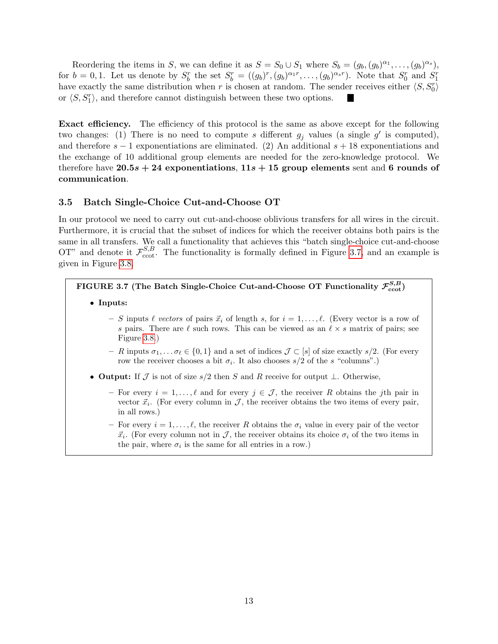Reordering the items in S, we can define it as  $S = S_0 \cup S_1$  where  $S_b = (g_b, (g_b)^{\alpha_1}, \ldots, (g_b)^{\alpha_s}),$ for  $b = 0, 1$ . Let us denote by  $S_b^r$  the set  $S_b^r = ((g_b)^r, (g_b)^{\alpha_1 r}, \ldots, (g_b)^{\alpha_s r})$ . Note that  $S_0^r$  and  $S_1^r$ have exactly the same distribution when r is chosen at random. The sender receives either  $\langle S, S_0^r \rangle$ or  $\langle S, S_1^r \rangle$ , and therefore cannot distinguish between these two options.

**Exact efficiency.** The efficiency of this protocol is the same as above except for the following two changes: (1) There is no need to compute s different  $g_j$  values (a single  $g'$  is computed), and therefore  $s - 1$  exponentiations are eliminated. (2) An additional  $s + 18$  exponentiations and the exchange of 10 additional group elements are needed for the zero-knowledge protocol. We therefore have  $20.5s + 24$  exponentiations,  $11s + 15$  group elements sent and 6 rounds of communication.

#### <span id="page-13-1"></span>3.5 Batch Single-Choice Cut-and-Choose OT

In our protocol we need to carry out cut-and-choose oblivious transfers for all wires in the circuit. Furthermore, it is crucial that the subset of indices for which the receiver obtains both pairs is the same in all transfers. We call a functionality that achieves this "batch single-choice cut-and-choose OT" and denote it  $\mathcal{F}_{\text{ccot}}^{S,B}$ . The functionality is formally defined in Figure [3.7,](#page-13-0) and an example is given in Figure [3.8.](#page-14-1)

# <span id="page-13-0"></span>FIGURE 3.7 (The Batch Single-Choice Cut-and-Choose OT Functionality  $\mathcal{F}^{S,B}_{\text{ccot}}$ )

- Inputs:
	- S inputs  $\ell$  vectors of pairs  $\vec{x}_i$  of length s, for  $i = 1, \ldots, \ell$ . (Every vector is a row of s pairs. There are  $\ell$  such rows. This can be viewed as an  $\ell \times s$  matrix of pairs; see Figure [3.8.](#page-14-1))
	- R inputs  $\sigma_1, \ldots, \sigma_\ell \in \{0, 1\}$  and a set of indices  $\mathcal{J} \subset [s]$  of size exactly  $s/2$ . (For every row the receiver chooses a bit  $\sigma_i$ . It also chooses  $s/2$  of the s "columns".)
- Output: If  $\mathcal J$  is not of size  $s/2$  then S and R receive for output  $\bot$ . Otherwise,
	- For every  $i = 1, \ldots, \ell$  and for every  $j \in \mathcal{J}$ , the receiver R obtains the jth pair in vector  $\vec{x}_i$ . (For every column in  $\mathcal{J}$ , the receiver obtains the two items of every pair, in all rows.)
	- For every  $i = 1, \ldots, \ell$ , the receiver R obtains the  $\sigma_i$  value in every pair of the vector  $\vec{x}_i$ . (For every column not in J, the receiver obtains its choice  $\sigma_i$  of the two items in the pair, where  $\sigma_i$  is the same for all entries in a row.)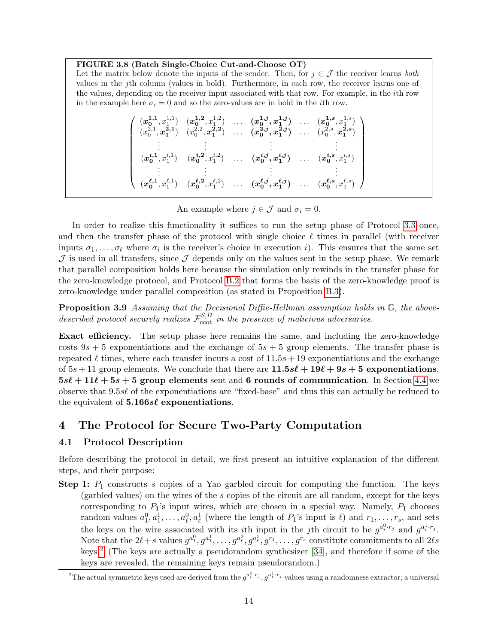### <span id="page-14-1"></span>FIGURE 3.8 (Batch Single-Choice Cut-and-Choose OT)

Let the matrix below denote the inputs of the sender. Then, for  $j \in \mathcal{J}$  the receiver learns both values in the *j*th column (values in bold). Furthermore, in each row, the receiver learns one of the values, depending on the receiver input associated with that row. For example, in the ith row in the example here  $\sigma_i = 0$  and so the zero-values are in bold in the *i*th row.

$$
\begin{pmatrix} (x_0^{1,1},x_1^{1,1}) & (x_0^{1,2},x_1^{1,2}) & \dots & (x_0^{1,j},x_1^{1,j}) & \dots & (x_0^{1,s},x_1^{1,s}) \\ (x_0^{2,1},x_1^{2,1}) & (x_0^{2,2},x_1^{2,2}) & \dots & (x_0^{2,j},x_1^{2,j}) & \dots & (x_0^{2,s},x_1^{2,s}) \\ \vdots & \vdots & \ddots & \vdots & \vdots & \vdots \\ (x_0^{i,1},x_1^{i,1}) & (x_0^{i,2},x_1^{i,2}) & \dots & (x_0^{i,j},x_1^{i,j}) & \dots & (x_0^{i,s},x_1^{i,s}) \\ \vdots & \vdots & \vdots & \vdots & \vdots & \vdots \\ (x_0^{\ell,1},x_1^{\ell,1}) & (x_0^{\ell,2},x_1^{\ell,2}) & \dots & (x_0^{\ell,j},x_1^{\ell,j}) & \dots & (x_0^{\ell,s},x_1^{\ell,s}) \end{pmatrix}
$$

An example where  $j \in \mathcal{J}$  and  $\sigma_i = 0$ .

In order to realize this functionality it suffices to run the setup phase of Protocol [3.3](#page-9-0) once, and then the transfer phase of the protocol with single choice  $\ell$  times in parallel (with receiver inputs  $\sigma_1, \ldots, \sigma_\ell$  where  $\sigma_i$  is the receiver's choice in execution i). This ensures that the same set  $J$  is used in all transfers, since  $J$  depends only on the values sent in the setup phase. We remark that parallel composition holds here because the simulation only rewinds in the transfer phase for the zero-knowledge protocol, and Protocol [B.2](#page-34-0) that forms the basis of the zero-knowledge proof is zero-knowledge under parallel composition (as stated in Proposition [B.3\)](#page-34-1).

Proposition 3.9 Assuming that the Decisional Diffie-Hellman assumption holds in  $\mathbb{G}$ , the abovedescribed protocol securely realizes  $\mathcal{F}^{S,B}_{\text{ccot}}$  in the presence of malicious adversaries.

Exact efficiency. The setup phase here remains the same, and including the zero-knowledge costs  $9s + 5$  exponentiations and the exchange of  $5s + 5$  group elements. The transfer phase is repeated  $\ell$  times, where each transfer incurs a cost of  $11.5s + 19$  exponentiations and the exchange of  $5s + 11$  group elements. We conclude that there are  $11.5s\ell + 19\ell + 9s + 5$  exponentiations,  $5s\ell + 11\ell + 5s + 5$  group elements sent and 6 rounds of communication. In Section [4.4](#page-24-0) we observe that  $9.5s\ell$  of the exponentiations are "fixed-base" and thus this can actually be reduced to the equivalent of  $5.166s\ell$  exponentiations.

### 4 The Protocol for Secure Two-Party Computation

#### <span id="page-14-0"></span>4.1 Protocol Description

Before describing the protocol in detail, we first present an intuitive explanation of the different steps, and their purpose:

**Step 1:**  $P_1$  constructs s copies of a Yao garbled circuit for computing the function. The keys (garbled values) on the wires of the s copies of the circuit are all random, except for the keys corresponding to  $P_1$ 's input wires, which are chosen in a special way. Namely,  $P_1$  chooses random values  $a_1^0, a_1^1, \ldots, a_\ell^0, a_\ell^1$  (where the length of  $P_1$ 's input is  $\ell$ ) and  $r_1, \ldots, r_s$ , and sets the keys on the wire associated with its *i*th input in the *j*th circuit to be  $g^{a_i^0 \cdot r_j}$  and  $g^{a_i^1 \cdot r_j}$ . Note that the  $2\ell+s$  values  $g^{a_1^0}, g^{a_1^1}, \ldots, g^{a_\ell^0}, g^{a_\ell^1}, g^{r_1}, \ldots, g^{r_s}$  constitute commitments to all  $2\ell s$ keys.[2](#page-14-2) (The keys are actually a pseudorandom synthesizer [\[34\]](#page-30-6), and therefore if some of the keys are revealed, the remaining keys remain pseudorandom.)

<span id="page-14-2"></span><sup>&</sup>lt;sup>2</sup>The actual symmetric keys used are derived from the  $g^{a_i^0 \cdot r_j}, g^{a_i^1 \cdot r_j}$  values using a randomness extractor; a universal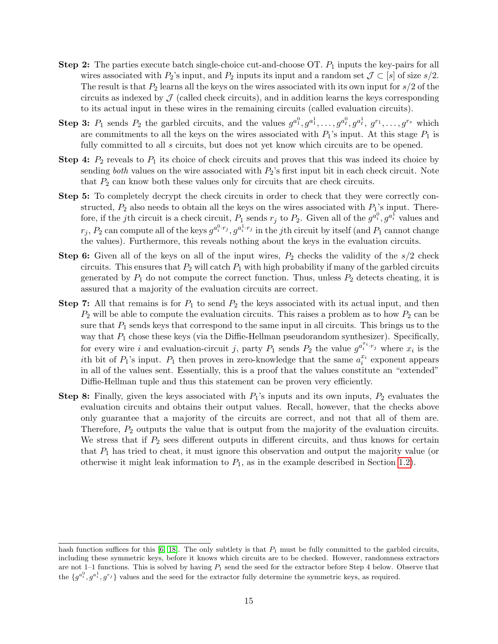- **Step 2:** The parties execute batch single-choice cut-and-choose  $\overline{OT}$ .  $P_1$  inputs the key-pairs for all wires associated with  $P_2$ 's input, and  $P_2$  inputs its input and a random set  $\mathcal{J} \subset [s]$  of size  $s/2$ . The result is that  $P_2$  learns all the keys on the wires associated with its own input for  $s/2$  of the circuits as indexed by  $\mathcal J$  (called check circuits), and in addition learns the keys corresponding to its actual input in these wires in the remaining circuits (called evaluation circuits).
- Step 3:  $P_1$  sends  $P_2$  the garbled circuits, and the values  $g^{a_1^0}, g^{a_1^1}, \ldots, g^{a_\ell^0}, g^{a_\ell^1}, g^{r_1}, \ldots, g^{r_s}$  which are commitments to all the keys on the wires associated with  $P_1$ 's input. At this stage  $P_1$  is fully committed to all s circuits, but does not yet know which circuits are to be opened.
- **Step 4:**  $P_2$  reveals to  $P_1$  its choice of check circuits and proves that this was indeed its choice by sending both values on the wire associated with  $P_2$ 's first input bit in each check circuit. Note that  $P_2$  can know both these values only for circuits that are check circuits.
- Step 5: To completely decrypt the check circuits in order to check that they were correctly constructed,  $P_2$  also needs to obtain all the keys on the wires associated with  $P_1$ 's input. Therefore, if the jth circuit is a check circuit,  $P_1$  sends  $r_j$  to  $P_2$ . Given all of the  $g^{a_i^0}, g^{a_i^{\bar{i}}}$  values and  $r_j$ ,  $P_2$  can compute all of the keys  $g^{a_i^0 \cdot r_j}, g^{a_i^1 \cdot r_j}$  in the *j*th circuit by itself (and  $P_1$  cannot change the values). Furthermore, this reveals nothing about the keys in the evaluation circuits.
- **Step 6:** Given all of the keys on all of the input wires,  $P_2$  checks the validity of the  $s/2$  check circuits. This ensures that  $P_2$  will catch  $P_1$  with high probability if many of the garbled circuits generated by  $P_1$  do not compute the correct function. Thus, unless  $P_2$  detects cheating, it is assured that a majority of the evaluation circuits are correct.
- **Step 7:** All that remains is for  $P_1$  to send  $P_2$  the keys associated with its actual input, and then  $P_2$  will be able to compute the evaluation circuits. This raises a problem as to how  $P_2$  can be sure that  $P_1$  sends keys that correspond to the same input in all circuits. This brings us to the way that  $P_1$  chose these keys (via the Diffie-Hellman pseudorandom synthesizer). Specifically, for every wire i and evaluation-circuit j, party  $P_1$  sends  $P_2$  the value  $g^{a_i^x \cdot r_j}$  where  $x_i$  is the ith bit of  $P_1$ 's input.  $P_1$  then proves in zero-knowledge that the same  $a_i^{x_i}$  exponent appears in all of the values sent. Essentially, this is a proof that the values constitute an "extended" Diffie-Hellman tuple and thus this statement can be proven very efficiently.
- **Step 8:** Finally, given the keys associated with  $P_1$ 's inputs and its own inputs,  $P_2$  evaluates the evaluation circuits and obtains their output values. Recall, however, that the checks above only guarantee that a majority of the circuits are correct, and not that all of them are. Therefore,  $P_2$  outputs the value that is output from the majority of the evaluation circuits. We stress that if  $P_2$  sees different outputs in different circuits, and thus knows for certain that  $P_1$  has tried to cheat, it must ignore this observation and output the majority value (or otherwise it might leak information to  $P_1$ , as in the example described in Section [1.2\)](#page-2-1).

hash function suffices for this  $[6, 18]$  $[6, 18]$ . The only subtlety is that  $P_1$  must be fully committed to the garbled circuits, including these symmetric keys, before it knows which circuits are to be checked. However, randomness extractors are not 1–1 functions. This is solved by having  $P_1$  send the seed for the extractor before Step 4 below. Observe that the  $\{g^{a_i^0}, g^{a_i^1}, g^{r_j}\}$  values and the seed for the extractor fully determine the symmetric keys, as required.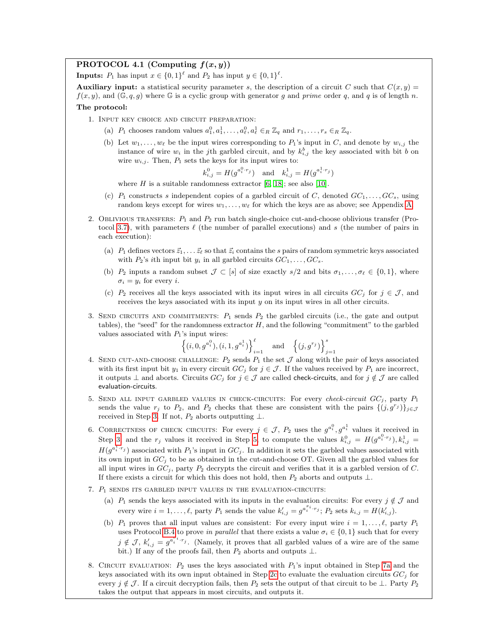### <span id="page-16-6"></span>PROTOCOL 4.1 (Computing  $f(x, y)$ )

**Inputs:**  $P_1$  has input  $x \in \{0,1\}^{\ell}$  and  $P_2$  has input  $y \in \{0,1\}^{\ell}$ .

**Auxiliary input:** a statistical security parameter s, the description of a circuit C such that  $C(x, y) =$  $f(x, y)$ , and  $(\mathbb{G}, q, q)$  where  $\mathbb{G}$  is a cyclic group with generator g and prime order q, and q is of length n. The protocol:

#### 1. Input key choice and circuit preparation:

- (a)  $P_1$  chooses random values  $a_1^0, a_1^1, \ldots, a_\ell^0, a_\ell^1 \in_R \mathbb{Z}_q$  and  $r_1, \ldots, r_s \in_R \mathbb{Z}_q$ .
- (b) Let  $w_1, \ldots, w_\ell$  be the input wires corresponding to  $P_1$ 's input in C, and denote by  $w_{i,j}$  the instance of wire  $w_i$  in the j<sup>th</sup> garbled circuit, and by  $k_{i,j}^b$  the key associated with bit b on wire  $w_{i,j}$ . Then,  $P_1$  sets the keys for its input wires to:

$$
k_{i,j}^0 = H(g^{a_i^0 \cdot r_j})
$$
 and  $k_{i,j}^1 = H(g^{a_i^1 \cdot r_j})$ 

where H is a suitable randomness extractor [\[6,](#page-28-5) [18\]](#page-29-8); see also [\[10\]](#page-29-9).

- (c)  $P_1$  constructs s independent copies of a garbled circuit of C, denoted  $GC_1, \ldots, GC_s$ , using random keys except for wires  $w_1, \ldots, w_\ell$  for which the keys are as above; see Appendix [A.](#page-31-0)
- <span id="page-16-4"></span>2. OBLIVIOUS TRANSFERS:  $P_1$  and  $P_2$  run batch single-choice cut-and-choose oblivious transfer (Pro-tocol [3.7\)](#page-13-0), with parameters  $\ell$  (the number of parallel executions) and s (the number of pairs in each execution):
	- (a)  $P_1$  defines vectors  $\vec{z}_1, \ldots, \vec{z}_\ell$  so that  $\vec{z}_i$  contains the s pairs of random symmetric keys associated with  $P_2$ 's *i*th input bit  $y_i$  in all garbled circuits  $GC_1, \ldots, GC_s$ .
	- (b)  $P_2$  inputs a random subset  $\mathcal{J} \subset [s]$  of size exactly  $s/2$  and bits  $\sigma_1, \ldots, \sigma_\ell \in \{0, 1\}$ , where  $\sigma_i = y_i$  for every *i*.
	- (c)  $P_2$  receives all the keys associated with its input wires in all circuits  $GC_j$  for  $j \in \mathcal{J}$ , and receives the keys associated with its input  $y$  on its input wires in all other circuits.
- <span id="page-16-3"></span><span id="page-16-0"></span>3. SEND CIRCUITS AND COMMITMENTS:  $P_1$  sends  $P_2$  the garbled circuits (i.e., the gate and output tables), the "seed" for the randomness extractor  $H$ , and the following "commitment" to the garbled values associated with  $P_1$ 's input wires:

$$
\{(i, 0, g^{a_i^0}), (i, 1, g^{a_i^1})\}_{i=1}^{\ell}
$$
 and  $\{(j, g^{r_j})\}_{j=1}^s$ 

- <span id="page-16-7"></span>4. SEND CUT-AND-CHOOSE CHALLENGE:  $P_2$  sends  $P_1$  the set  $\mathcal J$  along with the pair of keys associated with its first input bit  $y_1$  in every circuit  $GC_j$  for  $j \in \mathcal{J}$ . If the values received by  $P_1$  are incorrect, it outputs  $\perp$  and aborts. Circuits  $GC_j$  for  $j \in \mathcal{J}$  are called check-circuits, and for  $j \notin \mathcal{J}$  are called evaluation-circuits.
- <span id="page-16-1"></span>5. SEND ALL INPUT GARBLED VALUES IN CHECK-CIRCUITS: For every *check-circuit*  $GC_i$ , party  $P_1$ sends the value  $r_j$  to  $P_2$ , and  $P_2$  checks that these are consistent with the pairs  $\{(j, g^{r_j})\}_{i \in J}$ received in Step [3.](#page-16-0) If not,  $P_2$  aborts outputting  $\perp$ .
- <span id="page-16-8"></span>6. CORRECTNESS OF CHECK CIRCUITS: For every  $j \in \mathcal{J}$ ,  $P_2$  uses the  $g^{a_i^0}, g^{a_i^1}$  values it received in Step [3,](#page-16-0) and the  $r_j$  values it received in Step [5,](#page-16-1) to compute the values  $k_{i,j}^0 = H(g^{a_i^0 \cdot r_j}), k_{i,j}^1 =$  $H(g^{a_i^1 \cdot r_j})$  associated with  $P_1$ 's input in  $GC_j$ . In addition it sets the garbled values associated with its own input in  $GC_j$  to be as obtained in the cut-and-choose OT. Given all the garbled values for all input wires in  $GC_j$ , party  $P_2$  decrypts the circuit and verifies that it is a garbled version of C. If there exists a circuit for which this does not hold, then  $P_2$  aborts and outputs ⊥.
- <span id="page-16-5"></span><span id="page-16-2"></span>7.  $P_1$  sends its garbled input values in the evaluation-circuits:
	- (a)  $P_1$  sends the keys associated with its inputs in the evaluation circuits: For every  $j \notin \mathcal{J}$  and every wire  $i = 1, \ldots, \ell$ , party  $P_1$  sends the value  $k'_{i,j} = g^{a_i^{x_i} \cdot r_j}; P_2$  sets  $k_{i,j} = H(k'_{i,j}).$
	- (b)  $P_1$  proves that all input values are consistent: For every input wire  $i = 1, \ldots, \ell$ , party  $P_1$ uses Protocol [B.4](#page-35-0) to prove in parallel that there exists a value  $\sigma_i \in \{0,1\}$  such that for every  $j \notin \mathcal{J}$ ,  $k'_{i,j} = g^{a_i^{\sigma_i} \cdot r_j}$ . (Namely, it proves that all garbled values of a wire are of the same bit.) If any of the proofs fail, then  $P_2$  aborts and outputs  $\perp$ .
- 8. CIRCUIT EVALUATION:  $P_2$  uses the keys associated with  $P_1$ 's input obtained in Step [7a](#page-16-2) and the keys associated with its own input obtained in Step [2c](#page-16-3) to evaluate the evaluation circuits  $GC<sub>j</sub>$  for every j  $\notin \mathcal{J}$ . If a circuit decryption fails, then  $P_2$  sets the output of that circuit to be ⊥. Party  $P_2$ takes the output that appears in most circuits, and outputs it.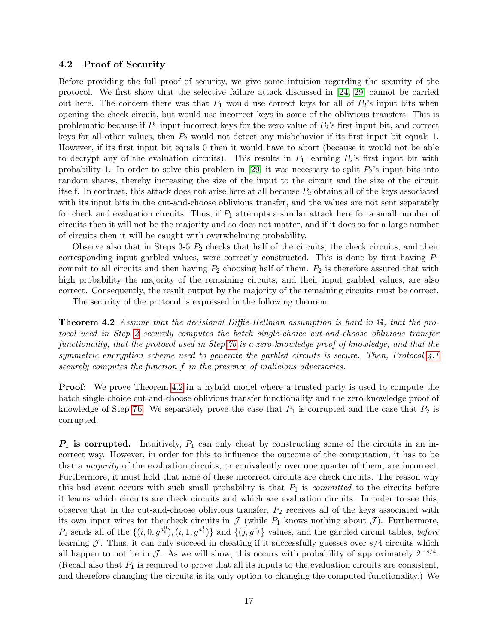#### 4.2 Proof of Security

Before providing the full proof of security, we give some intuition regarding the security of the protocol. We first show that the selective failure attack discussed in [\[24,](#page-29-4) [29\]](#page-30-2) cannot be carried out here. The concern there was that  $P_1$  would use correct keys for all of  $P_2$ 's input bits when opening the check circuit, but would use incorrect keys in some of the oblivious transfers. This is problematic because if  $P_1$  input incorrect keys for the zero value of  $P_2$ 's first input bit, and correct keys for all other values, then  $P_2$  would not detect any misbehavior if its first input bit equals 1. However, if its first input bit equals 0 then it would have to abort (because it would not be able to decrypt any of the evaluation circuits). This results in  $P_1$  learning  $P_2$ 's first input bit with probability 1. In order to solve this problem in [\[29\]](#page-30-2) it was necessary to split  $P_2$ 's input bits into random shares, thereby increasing the size of the input to the circuit and the size of the circuit itself. In contrast, this attack does not arise here at all because  $P_2$  obtains all of the keys associated with its input bits in the cut-and-choose oblivious transfer, and the values are not sent separately for check and evaluation circuits. Thus, if  $P_1$  attempts a similar attack here for a small number of circuits then it will not be the majority and so does not matter, and if it does so for a large number of circuits then it will be caught with overwhelming probability.

Observe also that in Steps 3-5  $P_2$  checks that half of the circuits, the check circuits, and their corresponding input garbled values, were correctly constructed. This is done by first having  $P_1$ commit to all circuits and then having  $P_2$  choosing half of them.  $P_2$  is therefore assured that with high probability the majority of the remaining circuits, and their input garbled values, are also correct. Consequently, the result output by the majority of the remaining circuits must be correct.

The security of the protocol is expressed in the following theorem:

<span id="page-17-0"></span>**Theorem 4.2** Assume that the decisional Diffie-Hellman assumption is hard in  $\mathbb{G}$ , that the protocol used in Step [2](#page-16-4) securely computes the batch single-choice cut-and-choose oblivious transfer functionality, that the protocol used in Step [7b](#page-16-5) is a zero-knowledge proof of knowledge, and that the symmetric encryption scheme used to generate the garbled circuits is secure. Then, Protocol [4.1](#page-16-6) securely computes the function f in the presence of malicious adversaries.

**Proof:** We prove Theorem [4.2](#page-17-0) in a hybrid model where a trusted party is used to compute the batch single-choice cut-and-choose oblivious transfer functionality and the zero-knowledge proof of knowledge of Step [7b.](#page-16-5) We separately prove the case that  $P_1$  is corrupted and the case that  $P_2$  is corrupted.

 $P_1$  is corrupted. Intuitively,  $P_1$  can only cheat by constructing some of the circuits in an incorrect way. However, in order for this to influence the outcome of the computation, it has to be that a majority of the evaluation circuits, or equivalently over one quarter of them, are incorrect. Furthermore, it must hold that none of these incorrect circuits are check circuits. The reason why this bad event occurs with such small probability is that  $P_1$  is *committed* to the circuits before it learns which circuits are check circuits and which are evaluation circuits. In order to see this, observe that in the cut-and-choose oblivious transfer,  $P_2$  receives all of the keys associated with its own input wires for the check circuits in  $\mathcal J$  (while  $P_1$  knows nothing about  $\mathcal J$ ). Furthermore,  $P_1$  sends all of the  $\{(i, 0, g^{a_i^0}), (i, 1, g^{a_i^1})\}$  and  $\{(j, g^{r_j})\}$  values, and the garbled circuit tables, *before* learning  $\mathcal{J}$ . Thus, it can only succeed in cheating if it successfully guesses over  $s/4$  circuits which all happen to not be in  $\mathcal J$ . As we will show, this occurs with probability of approximately  $2^{-s/4}$ . (Recall also that  $P_1$  is required to prove that all its inputs to the evaluation circuits are consistent, and therefore changing the circuits is its only option to changing the computed functionality.) We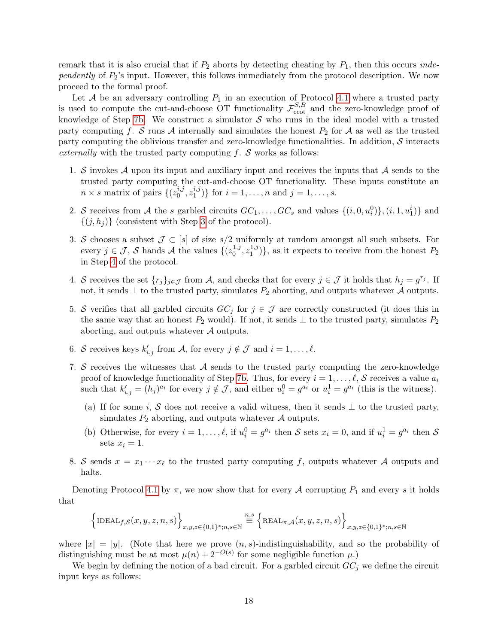remark that it is also crucial that if  $P_2$  aborts by detecting cheating by  $P_1$ , then this occurs *independently* of  $P_2$ 's input. However, this follows immediately from the protocol description. We now proceed to the formal proof.

Let  $A$  be an adversary controlling  $P_1$  in an execution of Protocol [4.1](#page-16-6) where a trusted party is used to compute the cut-and-choose OT functionality  $\mathcal{F}^{S,B}_{\text{ccot}}$  and the zero-knowledge proof of knowledge of Step [7b.](#page-16-5) We construct a simulator  $S$  who runs in the ideal model with a trusted party computing f. S runs A internally and simulates the honest  $P_2$  for A as well as the trusted party computing the oblivious transfer and zero-knowledge functionalities. In addition,  $S$  interacts externally with the trusted party computing  $f$ .  $S$  works as follows:

- 1. S invokes A upon its input and auxiliary input and receives the inputs that A sends to the trusted party computing the cut-and-choose OT functionality. These inputs constitute an  $n \times s$  matrix of pairs  $\{(\vec{z}_0^{i,j})\}$  $\stackrel{i,j}{_{0}},z_1^{i,j}$  $\{1, \ldots, n \text{ and } j = 1, \ldots, s.$
- 2. S receives from A the s garbled circuits  $GC_1, \ldots, GC_s$  and values  $\{(i, 0, u_i^0)\}, (i, 1, u_1^i)\}$  and  $\{(j, h_j)\}\$  (consistent with Step [3](#page-16-0) of the protocol).
- 3. S chooses a subset  $\mathcal{J} \subset [s]$  of size  $s/2$  uniformly at random amongst all such subsets. For every  $j \in \mathcal{J}, \mathcal{S}$  hands A the values  $\{(z_0^{1,j})\}$  $\frac{1}{0}^{1,j}, z_1^{1,j}$  $\{1, 1, 2\}$ , as it expects to receive from the honest  $P_2$ in Step [4](#page-16-7) of the protocol.
- 4. S receives the set  $\{r_j\}_{j\in\mathcal{J}}$  from A, and checks that for every  $j\in\mathcal{J}$  it holds that  $h_j=g^{r_j}$ . If not, it sends  $\perp$  to the trusted party, simulates  $P_2$  aborting, and outputs whatever A outputs.
- 5. S verifies that all garbled circuits  $GC_j$  for  $j \in \mathcal{J}$  are correctly constructed (it does this in the same way that an honest  $P_2$  would). If not, it sends  $\perp$  to the trusted party, simulates  $P_2$ aborting, and outputs whatever  $A$  outputs.
- 6. S receives keys  $k'_{i,j}$  from A, for every  $j \notin \mathcal{J}$  and  $i = 1, \ldots, \ell$ .
- 7. S receives the witnesses that  $A$  sends to the trusted party computing the zero-knowledge proof of knowledge functionality of Step [7b.](#page-16-5) Thus, for every  $i = 1, \ldots, \ell, S$  receives a value  $a_i$ such that  $k'_{i,j} = (h_j)^{a_i}$  for every  $j \notin \mathcal{J}$ , and either  $u_i^0 = g^{a_i}$  or  $u_i^1 = g^{a_i}$  (this is the witness).
	- (a) If for some i, S does not receive a valid witness, then it sends  $\perp$  to the trusted party, simulates  $P_2$  aborting, and outputs whatever  $\mathcal A$  outputs.
	- (b) Otherwise, for every  $i = 1, ..., \ell$ , if  $u_i^0 = g^{a_i}$  then S sets  $x_i = 0$ , and if  $u_i^1 = g^{a_i}$  then S sets  $x_i = 1$ .
- 8. S sends  $x = x_1 \cdots x_\ell$  to the trusted party computing f, outputs whatever A outputs and halts.

Denoting Protocol [4.1](#page-16-6) by  $\pi$ , we now show that for every A corrupting  $P_1$  and every s it holds that

$$
\left\{\mathrm{IDEAL}_{f,\mathcal{S}}(x,y,z,n,s)\right\}_{x,y,z\in\{0,1\}^{\ast};n,s\in\mathbb{N}}\overset{n,s}{\equiv}\left\{\mathrm{REAL}_{\pi,\mathcal{A}}(x,y,z,n,s)\right\}_{x,y,z\in\{0,1\}^{\ast};n,s\in\mathbb{N}}
$$

where  $|x| = |y|$ . (Note that here we prove  $(n, s)$ -indistinguishability, and so the probability of distinguishing must be at most  $\mu(n) + 2^{-O(s)}$  for some negligible function  $\mu$ .)

We begin by defining the notion of a bad circuit. For a garbled circuit  $GC<sub>j</sub>$  we define the circuit input keys as follows: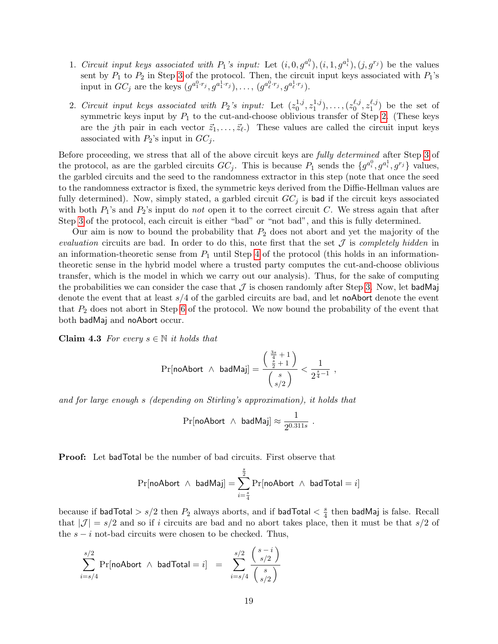- 1. Circuit input keys associated with  $P_1$ 's input: Let  $(i, 0, g^{a_i^0}), (i, 1, g^{a_i^1}), (j, g^{r_j})$  be the values sent by  $P_1$  to  $P_2$  in Step [3](#page-16-0) of the protocol. Then, the circuit input keys associated with  $P_1$ 's input in  $GC_j$  are the keys  $(g^{a_1^0 \cdot r_j}, g^{a_1^1 \cdot r_j}), \ldots, (g^{a_\ell^0 \cdot r_j}, g^{a_\ell^1 \cdot r_j}).$
- 2. Circuit input keys associated with  $P_2$ 's input: Let  $(z_0^{1,j})$  $_0^{1,j}, z_1^{1,j}$  $\binom{1,j}{1}, \ldots, \binom{z_0^{\ell,j}}{j}$  $_{0}^{\ell,j},z_{1}^{\ell,j}$  $\binom{\ell, j}{1}$  be the set of symmetric keys input by  $P_1$  to the cut-and-choose oblivious transfer of Step [2.](#page-16-4) (These keys are the jth pair in each vector  $\vec{z}_1, \ldots, \vec{z}_{\ell}$ . These values are called the circuit input keys associated with  $P_2$ 's input in  $GC_i$ .

Before proceeding, we stress that all of the above circuit keys are *fully determined* after Step [3](#page-16-0) of the protocol, as are the garbled circuits  $GC_j$ . This is because  $P_1$  sends the  $\{g^{a_i^0}, g^{a_i^1}, g^{r_j}\}$  values, the garbled circuits and the seed to the randomness extractor in this step (note that once the seed to the randomness extractor is fixed, the symmetric keys derived from the Diffie-Hellman values are fully determined). Now, simply stated, a garbled circuit  $GC<sub>j</sub>$  is bad if the circuit keys associated with both  $P_1$ 's and  $P_2$ 's input do *not* open it to the correct circuit C. We stress again that after Step [3](#page-16-0) of the protocol, each circuit is either "bad" or "not bad", and this is fully determined.

Our aim is now to bound the probability that  $P_2$  does not abort and yet the majority of the evaluation circuits are bad. In order to do this, note first that the set  $\mathcal J$  is completely hidden in an information-theoretic sense from  $P_1$  until Step [4](#page-16-7) of the protocol (this holds in an informationtheoretic sense in the hybrid model where a trusted party computes the cut-and-choose oblivious transfer, which is the model in which we carry out our analysis). Thus, for the sake of computing the probabilities we can consider the case that  $\mathcal I$  is chosen randomly after Step [3.](#page-16-0) Now, let badMaj denote the event that at least  $s/4$  of the garbled circuits are bad, and let noAbort denote the event that  $P_2$  does not abort in Step [6](#page-16-8) of the protocol. We now bound the probability of the event that both badMaj and noAbort occur.

<span id="page-19-0"></span>**Claim 4.3** For every  $s \in \mathbb{N}$  it holds that

$$
\Pr[\mathsf{noAbort}\;\wedge\;\mathsf{badMaj}] = \frac{\left(\begin{smallmatrix} \frac{3s}{4}+1\\ \frac{s}{2}+1\end{smallmatrix}\right)}{\left(\begin{smallmatrix} s\\ s/2\end{smallmatrix}\right)} < \frac{1}{2^{\frac{s}{4}-1}}\;,
$$

and for large enough s (depending on Stirling's approximation), it holds that

$$
\Pr[\mathsf{noAbort}\;\wedge\;\mathsf{badMaj}]\approx \frac{1}{2^{0.311s}}\;.
$$

Proof: Let badTotal be the number of bad circuits. First observe that

$$
\Pr[\mathsf{noAbort}\;\wedge\;\mathsf{badMaj}]=\sum_{i=\frac{s}{4}}^{\frac{s}{2}}\Pr[\mathsf{noAbort}\;\wedge\;\mathsf{badTotal}=i]
$$

because if badTotal  $> s/2$  then  $P_2$  always aborts, and if badTotal  $< \frac{s}{4}$  $\frac{s}{4}$  then badMaj is false. Recall that  $|\mathcal{J}| = s/2$  and so if i circuits are bad and no abort takes place, then it must be that  $s/2$  of the  $s - i$  not-bad circuits were chosen to be checked. Thus,

$$
\sum_{i=s/4}^{s/2} \Pr[\mathsf{noAbort}\;\wedge\;\mathsf{badTotal} = i] \;\; = \;\; \sum_{i=s/4}^{s/2} \frac{{s-i\choose s/2}}{{s\choose s/2}}
$$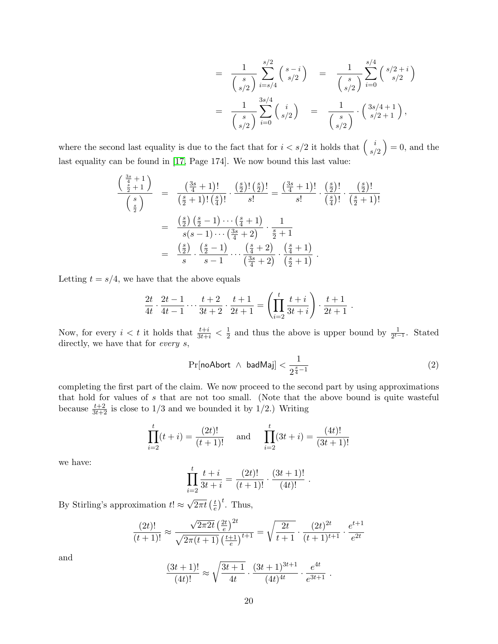$$
= \frac{1}{\binom{s}{s/2}} \sum_{i=s/4}^{s/2} \binom{s-i}{s/2} = \frac{1}{\binom{s}{s/2}} \sum_{i=0}^{s/4} \binom{s/2+i}{s/2} \n= \frac{1}{\binom{s}{s/2}} \sum_{i=0}^{3s/4} \binom{i}{s/2} = \frac{1}{\binom{s}{s/2}} \cdot \binom{3s/4+1}{s/2+1},
$$

where the second last equality is due to the fact that for  $i < s/2$  it holds that  $\begin{pmatrix} i \\ s \end{pmatrix}$  $s/2$  $= 0$ , and the last equality can be found in [\[17,](#page-29-10) Page 174]. We now bound this last value:

$$
\frac{\left(\frac{\frac{3s}{4}+1}{\frac{s}{2}+1}\right)}{\left(\frac{s}{2}\right)} = \frac{\left(\frac{3s}{4}+1\right)!}{\left(\frac{s}{2}+1\right)!\left(\frac{s}{4}\right)!} \cdot \frac{\left(\frac{s}{2}\right)!\left(\frac{s}{2}\right)!}{s!} = \frac{\left(\frac{3s}{4}+1\right)!}{s!} \cdot \frac{\left(\frac{s}{2}\right)!}{\left(\frac{s}{4}\right)!} \cdot \frac{\left(\frac{s}{2}\right)!}{\left(\frac{s}{2}+1\right)!} \n= \frac{\left(\frac{s}{2}\right)\left(\frac{s}{2}-1\right)\cdots\left(\frac{s}{4}+1\right)}{s(s-1)\cdots\left(\frac{3s}{4}+2\right)} \cdot \frac{1}{\frac{s}{2}+1} \n= \frac{\left(\frac{s}{2}\right)}{s} \cdot \frac{\left(\frac{s}{2}-1\right)}{s-1} \cdots \frac{\left(\frac{s}{4}+2\right)}{\left(\frac{3s}{4}+2\right)} \cdot \frac{\left(\frac{s}{4}+1\right)}{\left(\frac{s}{2}+1\right)}.
$$

Letting  $t = s/4$ , we have that the above equals

$$
\frac{2t}{4t} \cdot \frac{2t-1}{4t-1} \cdots \frac{t+2}{3t+2} \cdot \frac{t+1}{2t+1} = \left(\prod_{i=2}^t \frac{t+i}{3t+i}\right) \cdot \frac{t+1}{2t+1}.
$$

Now, for every  $i < t$  it holds that  $\frac{t+i}{3t+i} < \frac{1}{2}$  $\frac{1}{2}$  and thus the above is upper bound by  $\frac{1}{2^{t-1}}$ . Stated directly, we have that for every  $s$ ,

$$
\Pr[\mathsf{noAbort} \ \land \ \mathsf{badMaj}] < \frac{1}{2^{\frac{s}{4}-1}}\tag{2}
$$

completing the first part of the claim. We now proceed to the second part by using approximations that hold for values of s that are not too small. (Note that the above bound is quite wasteful because  $\frac{t+2}{3t+2}$  is close to 1/3 and we bounded it by 1/2.) Writing

$$
\prod_{i=2}^{t} (t+i) = \frac{(2t)!}{(t+1)!} \quad \text{and} \quad \prod_{i=2}^{t} (3t+i) = \frac{(4t)!}{(3t+1)!}
$$

we have:

$$
\prod_{i=2}^t \frac{t+i}{3t+i} = \frac{(2t)!}{(t+1)!} \cdot \frac{(3t+1)!}{(4t)!} .
$$

By Stirling's approximation  $t! \approx$ √  $\overline{2\pi t}$  (  $\frac{t}{e}$  $(\frac{t}{e})^t$ . Thus,

$$
\frac{(2t)!}{(t+1)!} \approx \frac{\sqrt{2\pi 2t} \left(\frac{2t}{e}\right)^{2t}}{\sqrt{2\pi (t+1)} \left(\frac{t+1}{e}\right)^{t+1}} = \sqrt{\frac{2t}{t+1}} \cdot \frac{(2t)^{2t}}{(t+1)^{t+1}} \cdot \frac{e^{t+1}}{e^{2t}}
$$

and

$$
\frac{(3t+1)!}{(4t)!} \approx \sqrt{\frac{3t+1}{4t}} \cdot \frac{(3t+1)^{3t+1}}{(4t)^{4t}} \cdot \frac{e^{4t}}{e^{3t+1}}.
$$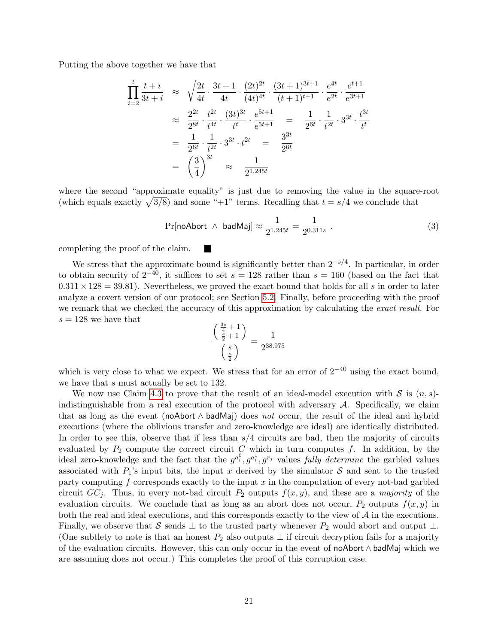Putting the above together we have that

$$
\prod_{i=2}^{t} \frac{t+i}{3t+i} \approx \sqrt{\frac{2t}{4t} \cdot \frac{3t+1}{4t}} \cdot \frac{(2t)^{2t}}{(4t)^{4t}} \cdot \frac{(3t+1)^{3t+1}}{(t+1)^{t+1}} \cdot \frac{e^{4t}}{e^{2t}} \cdot \frac{e^{t+1}}{e^{3t+1}}
$$
\n
$$
\approx \frac{2^{2t}}{2^{8t}} \cdot \frac{t^{2t}}{t^{4t}} \cdot \frac{(3t)^{3t}}{t^{t}} \cdot \frac{e^{5t+1}}{e^{5t+1}} = \frac{1}{2^{6t}} \cdot \frac{1}{t^{2t}} \cdot 3^{3t} \cdot \frac{t^{3t}}{t^{t}}
$$
\n
$$
= \frac{1}{2^{6t}} \cdot \frac{1}{t^{2t}} \cdot 3^{3t} \cdot t^{2t} = \frac{3^{3t}}{2^{6t}}
$$
\n
$$
= \left(\frac{3}{4}\right)^{3t} \approx \frac{1}{2^{1.245t}}
$$

where the second "approximate equality" is just due to removing the value in the square-root (which equals exactly  $\sqrt{3/8}$ ) and some "+1" terms. Recalling that  $t = s/4$  we conclude that

$$
\Pr[\text{noAbort } \wedge \text{ badMaj}] \approx \frac{1}{2^{1.245t}} = \frac{1}{2^{0.311s}} \ . \tag{3}
$$

completing the proof of the claim.

We stress that the approximate bound is significantly better than  $2^{-s/4}$ . In particular, in order to obtain security of  $2^{-40}$ , it suffices to set  $s = 128$  rather than  $s = 160$  (based on the fact that  $0.311 \times 128 = 39.81$ . Nevertheless, we proved the exact bound that holds for all s in order to later analyze a covert version of our protocol; see Section [5.2.](#page-27-0) Finally, before proceeding with the proof we remark that we checked the accuracy of this approximation by calculating the exact result. For  $s = 128$  we have that

$$
\frac{\left(\frac{\frac{3s}{4}+1}{\frac{s}{2}+1}\right)}{\left(\frac{s}{\frac{s}{2}}\right)} = \frac{1}{2^{38.975}}
$$

which is very close to what we expect. We stress that for an error of  $2^{-40}$  using the exact bound, we have that s must actually be set to 132.

We now use Claim [4.3](#page-19-0) to prove that the result of an ideal-model execution with  $S$  is  $(n, s)$ indistinguishable from a real execution of the protocol with adversary  $A$ . Specifically, we claim that as long as the event (noAbort  $\land$  badMaj) does not occur, the result of the ideal and hybrid executions (where the oblivious transfer and zero-knowledge are ideal) are identically distributed. In order to see this, observe that if less than  $s/4$  circuits are bad, then the majority of circuits evaluated by  $P_2$  compute the correct circuit C which in turn computes f. In addition, by the ideal zero-knowledge and the fact that the  $g^{a_i^0}, g^{a_i^1}, g^{r_j}$  values fully determine the garbled values associated with  $P_1$ 's input bits, the input x derived by the simulator S and sent to the trusted party computing  $f$  corresponds exactly to the input  $x$  in the computation of every not-bad garbled circuit  $GC_i$ . Thus, in every not-bad circuit  $P_2$  outputs  $f(x, y)$ , and these are a majority of the evaluation circuits. We conclude that as long as an abort does not occur,  $P_2$  outputs  $f(x, y)$  in both the real and ideal executions, and this corresponds exactly to the view of  $A$  in the executions. Finally, we observe that S sends  $\perp$  to the trusted party whenever  $P_2$  would abort and output  $\perp$ . (One subtlety to note is that an honest  $P_2$  also outputs  $\perp$  if circuit decryption fails for a majority of the evaluation circuits. However, this can only occur in the event of noAbort ∧ badMaj which we are assuming does not occur.) This completes the proof of this corruption case.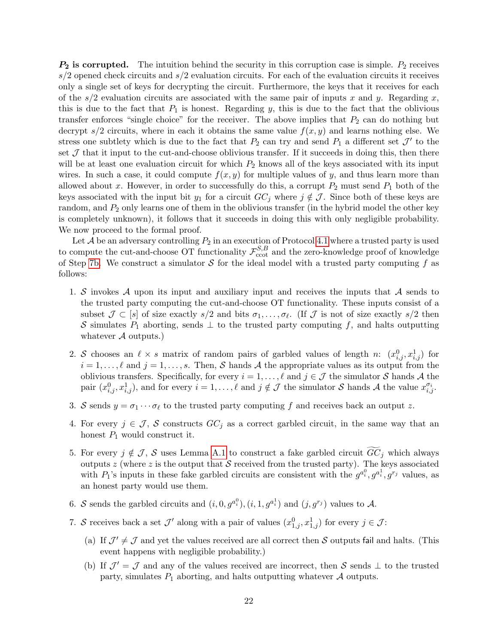$P_2$  is corrupted. The intuition behind the security in this corruption case is simple.  $P_2$  receives  $s/2$  opened check circuits and  $s/2$  evaluation circuits. For each of the evaluation circuits it receives only a single set of keys for decrypting the circuit. Furthermore, the keys that it receives for each of the  $s/2$  evaluation circuits are associated with the same pair of inputs x and y. Regarding x, this is due to the fact that  $P_1$  is honest. Regarding y, this is due to the fact that the oblivious transfer enforces "single choice" for the receiver. The above implies that  $P_2$  can do nothing but decrypt  $s/2$  circuits, where in each it obtains the same value  $f(x, y)$  and learns nothing else. We stress one subtlety which is due to the fact that  $P_2$  can try and send  $P_1$  a different set  $\mathcal{J}'$  to the set  $J$  that it input to the cut-and-choose oblivious transfer. If it succeeds in doing this, then there will be at least one evaluation circuit for which  $P_2$  knows all of the keys associated with its input wires. In such a case, it could compute  $f(x, y)$  for multiple values of y, and thus learn more than allowed about x. However, in order to successfully do this, a corrupt  $P_2$  must send  $P_1$  both of the keys associated with the input bit  $y_1$  for a circuit  $GC_j$  where  $j \notin \mathcal{J}$ . Since both of these keys are random, and  $P_2$  only learns one of them in the oblivious transfer (in the hybrid model the other key is completely unknown), it follows that it succeeds in doing this with only negligible probability. We now proceed to the formal proof.

Let  $A$  be an adversary controlling  $P_2$  in an execution of Protocol [4.1](#page-16-6) where a trusted party is used to compute the cut-and-choose OT functionality  $\mathcal{F}^{S,B}_{\text{ccot}}$  and the zero-knowledge proof of knowledge of Step [7b.](#page-16-5) We construct a simulator  $S$  for the ideal model with a trusted party computing f as follows:

- 1. S invokes A upon its input and auxiliary input and receives the inputs that A sends to the trusted party computing the cut-and-choose OT functionality. These inputs consist of a subset  $\mathcal{J} \subset [s]$  of size exactly  $s/2$  and bits  $\sigma_1, \ldots, \sigma_\ell$ . (If  $\mathcal{J}$  is not of size exactly  $s/2$  then S simulates  $P_1$  aborting, sends  $\perp$  to the trusted party computing f, and halts outputting whatever  $A$  outputs.)
- 2. S chooses an  $\ell \times s$  matrix of random pairs of garbled values of length n:  $(x_{i,j}^0, x_{i,j}^1)$  for  $i = 1, \ldots, \ell$  and  $j = 1, \ldots, s$ . Then, S hands A the appropriate values as its output from the oblivious transfers. Specifically, for every  $i = 1, \ldots, \ell$  and  $j \in \mathcal{J}$  the simulator S hands A the pair  $(x_{i,j}^0, x_{i,j}^1)$ , and for every  $i = 1, \ldots, \ell$  and  $j \notin \mathcal{J}$  the simulator S hands A the value  $x_{i,j}^{\sigma_i}$ .
- 3. S sends  $y = \sigma_1 \cdots \sigma_\ell$  to the trusted party computing f and receives back an output z.
- 4. For every  $j \in \mathcal{J}$ , S constructs  $GC_j$  as a correct garbled circuit, in the same way that an honest  $P_1$  would construct it.
- 5. For every  $j \notin \mathcal{J}$ , S uses Lemma [A.1](#page-32-1) to construct a fake garbled circuit  $\widetilde{GC}_j$  which always outputs  $z$  (where  $z$  is the output that  $S$  received from the trusted party). The keys associated with  $P_1$ 's inputs in these fake garbled circuits are consistent with the  $g^{a_i^0}, g^{a_i^1}, g^{r_j}$  values, as an honest party would use them.
- 6. S sends the garbled circuits and  $(i, 0, g^{a_i^0}), (i, 1, g^{a_i^1})$  and  $(j, g^{r_j})$  values to A.
- 7. S receives back a set  $\mathcal{J}'$  along with a pair of values  $(x_{1,j}^0, x_{1,j}^1)$  for every  $j \in \mathcal{J}$ :
	- (a) If  $\mathcal{J}' \neq \mathcal{J}$  and yet the values received are all correct then S outputs fail and halts. (This event happens with negligible probability.)
	- (b) If  $\mathcal{J}' = \mathcal{J}$  and any of the values received are incorrect, then S sends  $\perp$  to the trusted party, simulates  $P_1$  aborting, and halts outputting whatever  $A$  outputs.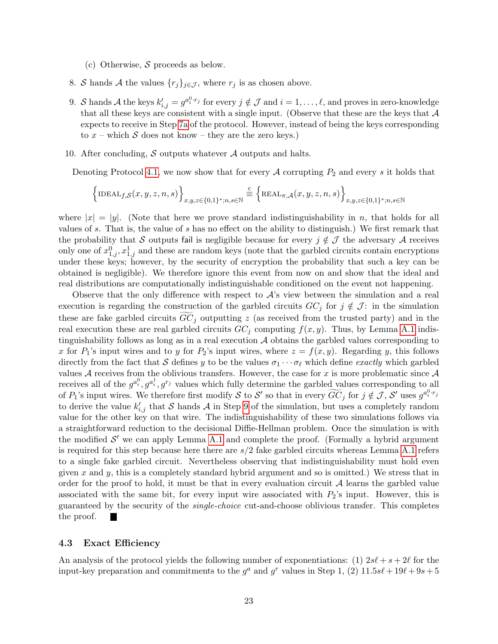- (c) Otherwise,  $S$  proceeds as below.
- 8. S hands A the values  $\{r_j\}_{j\in\mathcal{J}}$ , where  $r_j$  is as chosen above.
- <span id="page-23-1"></span>9. S hands A the keys  $k'_{i,j} = g^{a_i^0 \cdot r_j}$  for every  $j \notin \mathcal{J}$  and  $i = 1, \ldots, \ell$ , and proves in zero-knowledge that all these keys are consistent with a single input. (Observe that these are the keys that  $A$ expects to receive in Step [7a](#page-16-2) of the protocol. However, instead of being the keys corresponding to  $x$  – which S does not know – they are the zero keys.)
- 10. After concluding,  $S$  outputs whatever  $A$  outputs and halts.

Denoting Protocol [4.1,](#page-16-6) we now show that for every  $\mathcal A$  corrupting  $P_2$  and every s it holds that

$$
\left\{\mathrm{IDEAL}_{f,\mathcal{S}}(x,y,z,n,s)\right\}_{x,y,z\in\{0,1\}^{\ast};n,s\in\mathbb{N}}\stackrel{c}{\equiv}\left\{\mathrm{REAL}_{\pi,\mathcal{A}}(x,y,z,n,s)\right\}_{x,y,z\in\{0,1\}^{\ast};n,s\in\mathbb{N}}
$$

where  $|x| = |y|$ . (Note that here we prove standard indistinguishability in n, that holds for all values of s. That is, the value of s has no effect on the ability to distinguish.) We first remark that the probability that S outputs fail is negligible because for every  $j \notin \mathcal{J}$  the adversary A receives only one of  $x_{1,j}^0, x_{1,j}^1$  and these are random keys (note that the garbled circuits contain encryptions under these keys; however, by the security of encryption the probability that such a key can be obtained is negligible). We therefore ignore this event from now on and show that the ideal and real distributions are computationally indistinguishable conditioned on the event not happening.

Observe that the only difference with respect to  $A$ 's view between the simulation and a real execution is regarding the construction of the garbled circuits  $GC_j$  for  $j \notin \mathcal{J}$ : in the simulation these are fake garbled circuits  $\widetilde{GC}_j$  outputting z (as received from the trusted party) and in the real execution these are real garbled circuits  $GC_j$  computing  $f(x, y)$ . Thus, by Lemma [A.1](#page-32-1) indistinguishability follows as long as in a real execution  $A$  obtains the garbled values corresponding to x for  $P_1$ 's input wires and to y for  $P_2$ 's input wires, where  $z = f(x, y)$ . Regarding y, this follows directly from the fact that S defines y to be the values  $\sigma_1 \cdots \sigma_\ell$  which define exactly which garbled values  $A$  receives from the oblivious transfers. However, the case for  $x$  is more problematic since  $A$ receives all of the  $g^{a_i^0}, g^{a_i^1}, g^{r_j}$  values which fully determine the garbled values corresponding to all of  $P_1$ 's input wires. We therefore first modify  $S$  to  $S'$  so that in every  $\widetilde{GC}_j$  for  $j \notin \mathcal{J}$ ,  $S'$  uses  $g^{a_i^0 \cdot r_j}$ to derive the value  $k'_{i,j}$  that S hands A in Step [9](#page-23-1) of the simulation, but uses a completely random value for the other key on that wire. The indistinguishability of these two simulations follows via a straightforward reduction to the decisional Diffie-Hellman problem. Once the simulation is with the modified  $\mathcal{S}'$  we can apply Lemma [A.1](#page-32-1) and complete the proof. (Formally a hybrid argument is required for this step because here there are  $s/2$  fake garbled circuits whereas Lemma [A.1](#page-32-1) refers to a single fake garbled circuit. Nevertheless observing that indistinguishability must hold even given x and y, this is a completely standard hybrid argument and so is omitted.) We stress that in order for the proof to hold, it must be that in every evaluation circuit  $A$  learns the garbled value associated with the same bit, for every input wire associated with  $P_2$ 's input. However, this is guaranteed by the security of the single-choice cut-and-choose oblivious transfer. This completes the proof. 

### <span id="page-23-0"></span>4.3 Exact Efficiency

An analysis of the protocol yields the following number of exponentiations: (1)  $2s\ell + s + 2\ell$  for the input-key preparation and commitments to the  $g^a$  and  $g^r$  values in Step 1, (2)  $11.5s\ell + 19\ell + 9s + 5$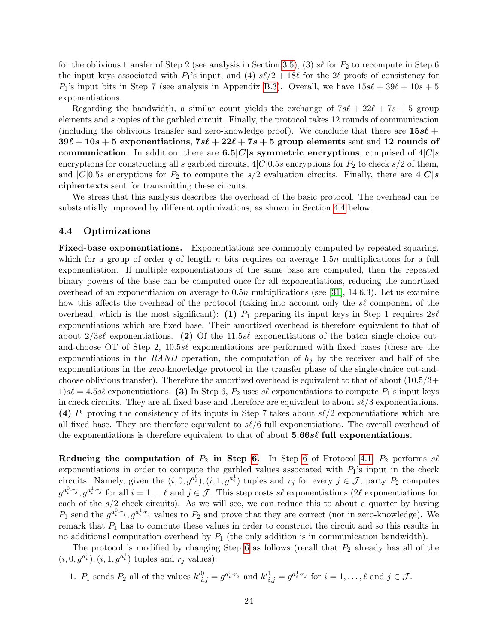for the oblivious transfer of Step 2 (see analysis in Section [3.5\)](#page-13-1), (3) s $\ell$  for  $P_2$  to recompute in Step 6 the input keys associated with  $P_1$ 's input, and (4)  $s\ell/2 + 18\ell$  for the 2 $\ell$  proofs of consistency for  $P_1$ 's input bits in Step 7 (see analysis in Appendix [B.3\)](#page-35-1). Overall, we have  $15s\ell + 39\ell + 10s + 5$ exponentiations.

Regarding the bandwidth, a similar count yields the exchange of  $7s\ell + 22\ell + 7s + 5$  group elements and s copies of the garbled circuit. Finally, the protocol takes 12 rounds of communication (including the oblivious transfer and zero-knowledge proof). We conclude that there are  $15s\ell +$  $39\ell + 10s + 5$  exponentiations,  $7s\ell + 22\ell + 7s + 5$  group elements sent and 12 rounds of communication. In addition, there are 6.5|C|s symmetric encryptions, comprised of  $4|C|s$ encryptions for constructing all s garbled circuits,  $4|C|0.5s$  encryptions for  $P_2$  to check s/2 of them, and  $|C|0.5s$  encryptions for  $P_2$  to compute the  $s/2$  evaluation circuits. Finally, there are  $4|C|s$ ciphertexts sent for transmitting these circuits.

We stress that this analysis describes the overhead of the basic protocol. The overhead can be substantially improved by different optimizations, as shown in Section [4.4](#page-24-0) below.

#### <span id="page-24-0"></span>4.4 Optimizations

Fixed-base exponentiations. Exponentiations are commonly computed by repeated squaring, which for a group of order q of length n bits requires on average 1.5n multiplications for a full exponentiation. If multiple exponentiations of the same base are computed, then the repeated binary powers of the base can be computed once for all exponentiations, reducing the amortized overhead of an exponentiation on average to  $0.5n$  multiplications (see [\[31\]](#page-30-12), 14.6.3). Let us examine how this affects the overhead of the protocol (taking into account only the  $s\ell$  component of the overhead, which is the most significant): (1)  $P_1$  preparing its input keys in Step 1 requires  $2s\ell$ exponentiations which are fixed base. Their amortized overhead is therefore equivalent to that of about  $2/3s\ell$  exponentiations. (2) Of the 11.5s $\ell$  exponentiations of the batch single-choice cutand-choose OT of Step 2,  $10.5s\ell$  exponentiations are performed with fixed bases (these are the exponentiations in the RAND operation, the computation of  $h_j$  by the receiver and half of the exponentiations in the zero-knowledge protocol in the transfer phase of the single-choice cut-andchoose oblivious transfer). Therefore the amortized overhead is equivalent to that of about  $(10.5/3+)$  $1/s\ell = 4.5s\ell$  exponentiations. (3) In Step 6,  $P_2$  uses s $\ell$  exponentiations to compute  $P_1$ 's input keys in check circuits. They are all fixed base and therefore are equivalent to about  $s\ell/3$  exponentiations. (4)  $P_1$  proving the consistency of its inputs in Step 7 takes about  $s\ell/2$  exponentiations which are all fixed base. They are therefore equivalent to  $s\ell/6$  full exponentiations. The overall overhead of the exponentiations is therefore equivalent to that of about  $5.66$  full exponentiations.

**Reducing the computation of**  $P_2$  **in Step [6.](#page-16-8)** In Step [6](#page-16-8) of Protocol [4.1,](#page-16-6)  $P_2$  performs s $\ell$ exponentiations in order to compute the garbled values associated with  $P_1$ 's input in the check circuits. Namely, given the  $(i, 0, g^{a_i^0})$ ,  $(i, 1, g^{a_i^1})$  tuples and  $r_j$  for every  $j \in \mathcal{J}$ , party  $P_2$  computes  $g^{a_i^0 \cdot r_j}, g^{a_i^1 \cdot r_j}$  for all  $i = 1 \ldots \ell$  and  $j \in \mathcal{J}$ . This step costs s $\ell$  exponentiations (2 $\ell$  exponentiations for each of the  $s/2$  check circuits). As we will see, we can reduce this to about a quarter by having  $P_1$  send the  $g^{a_i^0 \cdot r_j}, g^{a_i^1 \cdot r_j}$  values to  $P_2$  and prove that they are correct (not in zero-knowledge). We remark that  $P_1$  has to compute these values in order to construct the circuit and so this results in no additional computation overhead by  $P_1$  (the only addition is in communication bandwidth).

The protocol is modified by changing Step [6](#page-16-8) as follows (recall that  $P_2$  already has all of the  $(i, 0, g^{a_i^0})$ ,  $(i, 1, g^{a_i^1})$  tuples and  $r_j$  values):

1.  $P_1$  sends  $P_2$  all of the values  $k'^0_{i,j} = g^{a_i^0 \cdot r_j}$  and  $k'^1_{i,j} = g^{a_i^1 \cdot r_j}$  for  $i = 1, \ldots, \ell$  and  $j \in \mathcal{J}$ .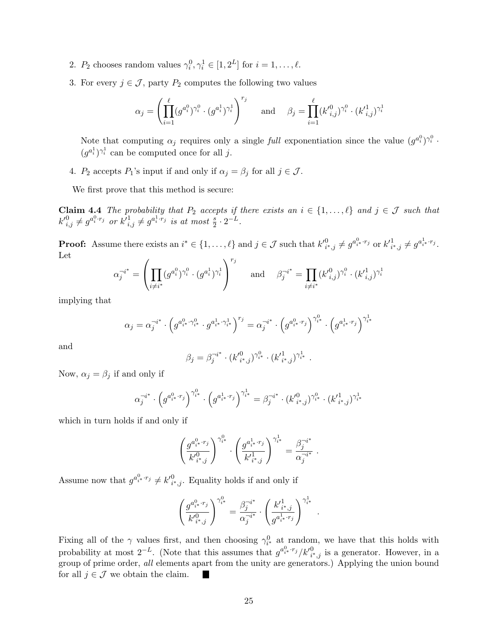- 2.  $P_2$  chooses random values  $\gamma_i^0, \gamma_i^1 \in [1, 2^L]$  for  $i = 1, ..., \ell$ .
- 3. For every  $j \in \mathcal{J}$ , party  $P_2$  computes the following two values

$$
\alpha_j = \left( \prod_{i=1}^{\ell} (g^{a_i^0})^{\gamma_i^0} \cdot (g^{a_i^1})^{\gamma_i^1} \right)^{r_j} \quad \text{and} \quad \beta_j = \prod_{i=1}^{\ell} (k'_{i,j}^0)^{\gamma_i^0} \cdot (k'_{i,j}^1)^{\gamma_i^1}
$$

Note that computing  $\alpha_j$  requires only a single full exponentiation since the value  $(g_{i}^{a_i^0})^{\gamma_i^0}$ .  $(g^{a_i^1})^{\gamma_i^1}$  can be computed once for all j.

4.  $P_2$  accepts  $P_1$ 's input if and only if  $\alpha_j = \beta_j$  for all  $j \in \mathcal{J}$ .

We first prove that this method is secure:

<span id="page-25-0"></span>**Claim 4.4** The probability that  $P_2$  accepts if there exists an  $i \in \{1, \ldots, \ell\}$  and  $j \in \mathcal{J}$  such that  $k'^{0}_{i,j} \neq g^{a_i^0 \cdot r_j}$  or  $k'^{1}_{i,j} \neq g^{a_i^1 \cdot r_j}$  is at most  $\frac{s}{2} \cdot 2^{-L}$ .

**Proof:** Assume there exists an  $i^* \in \{1, \ldots, \ell\}$  and  $j \in \mathcal{J}$  such that  $k'^{0}_{i^*,j} \neq g^{a^{0}_{i^*} \cdot r_j}$  or  $k'^{1}_{i^*,j} \neq g^{a^{1}_{i^*} \cdot r_j}$ . Let

$$
\alpha_j^{-i^*} = \left(\prod_{i \neq i^*} (g^{a_i^0})^{\gamma_i^0} \cdot (g^{a_i^1})^{\gamma_i^1}\right)^{r_j} \quad \text{and} \quad \beta_j^{-i^*} = \prod_{i \neq i^*} (k'_{i,j}^0)^{\gamma_i^0} \cdot (k'_{i,j}^1)^{\gamma_i^1}
$$

implying that

$$
\alpha_j = \alpha_j^{-i^*} \cdot \left( g^{a_{i^*}^0 \cdot \gamma_{i^*}^0} \cdot g^{a_{i^*}^1 \cdot \gamma_{i^*}^1} \right)^{r_j} = \alpha_j^{-i^*} \cdot \left( g^{a_{i^*}^0 \cdot r_j} \right)^{\gamma_{i^*}^0} \cdot \left( g^{a_{i^*}^1 \cdot r_j} \right)^{\gamma_{i^*}^1}
$$

and

$$
\beta_j = \beta_j^{-i^*} \cdot (k'^{0}_{i^*,j})^{\gamma_{i^*}^0} \cdot (k'^{1}_{i^*,j})^{\gamma_{i^*}^1}.
$$

Now,  $\alpha_j = \beta_j$  if and only if

$$
\alpha_j^{-i^*} \cdot \left( g^{a_{i^*}^0 \cdot r_j} \right)^{\gamma_{i^*}^0} \cdot \left( g^{a_{i^*}^1 \cdot r_j} \right)^{\gamma_{i^*}^1} = \beta_j^{-i^*} \cdot (k'^0_{i^*,j})^{\gamma_{i^*}^0} \cdot (k'^1_{i^*,j})^{\gamma_{i^*}^1}
$$

which in turn holds if and only if

$$
\left(\frac{g^{a_{i^*}^0 \cdot r_j}}{k'_{i^*,j}^0}\right)^{\gamma_{i^*}^0} \cdot \left(\frac{g^{a_{i^*}^1 \cdot r_j}}{k'_{i^*,j}^1}\right)^{\gamma_{i^*}^1} = \frac{\beta_j^{-i^*}}{\alpha_j^{-i^*}}.
$$

Assume now that  $g^{a_{i^*}^0 \cdot r_j} \neq k'^0_{i^*,j}$ . Equality holds if and only if

$$
\left(\frac{g^{a_{i^*}^0 \cdot r_j}}{k'{}_{i^*,j}^0}\right)^{\gamma_{i^*}^0} = \frac{\beta_j^{-i^*}}{\alpha_j^{-i^*}} \cdot \left(\frac{k'{}_{i^*,j}^1}{g^{a_{i^*}^1 \cdot r_j}}\right)^{\gamma_{i^*}^1}
$$

.

Fixing all of the  $\gamma$  values first, and then choosing  $\gamma_i^0$  at random, we have that this holds with probability at most  $2^{-L}$ . (Note that this assumes that  $g^{a_{i*}^0 \tcdot r_j}/k'^0_{i*,j}$  is a generator. However, in a group of prime order, all elements apart from the unity are generators.) Applying the union bound for all  $j \in \mathcal{J}$  we obtain the claim.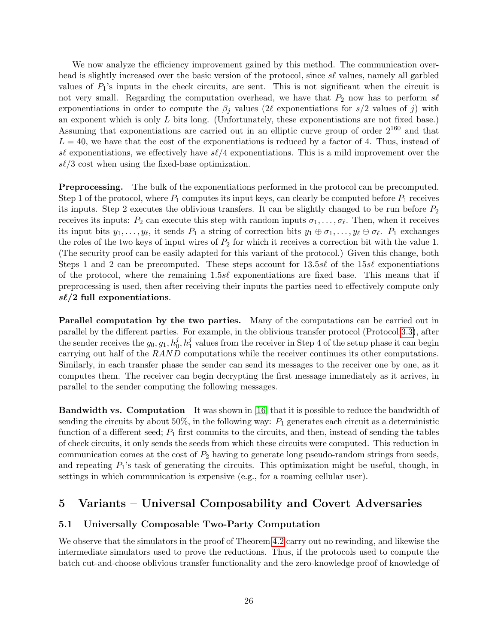We now analyze the efficiency improvement gained by this method. The communication overhead is slightly increased over the basic version of the protocol, since  $s\ell$  values, namely all garbled values of  $P_1$ 's inputs in the check circuits, are sent. This is not significant when the circuit is not very small. Regarding the computation overhead, we have that  $P_2$  now has to perform s $\ell$ exponentiations in order to compute the  $\beta_i$  values (2 $\ell$  exponentiations for s/2 values of j) with an exponent which is only  $L$  bits long. (Unfortunately, these exponentiations are not fixed base.) Assuming that exponentiations are carried out in an elliptic curve group of order  $2^{160}$  and that  $L = 40$ , we have that the cost of the exponentiations is reduced by a factor of 4. Thus, instead of s' exponentiations, we effectively have  $s\ell/4$  exponentiations. This is a mild improvement over the  $s\ell/3$  cost when using the fixed-base optimization.

**Preprocessing.** The bulk of the exponentiations performed in the protocol can be precomputed. Step 1 of the protocol, where  $P_1$  computes its input keys, can clearly be computed before  $P_1$  receives its inputs. Step 2 executes the oblivious transfers. It can be slightly changed to be run before  $P_2$ receives its inputs:  $P_2$  can execute this step with random inputs  $\sigma_1, \ldots, \sigma_\ell$ . Then, when it receives its input bits  $y_1, \ldots, y_\ell$ , it sends  $P_1$  a string of correction bits  $y_1 \oplus \sigma_1, \ldots, y_\ell \oplus \sigma_\ell$ .  $P_1$  exchanges the roles of the two keys of input wires of  $P_2$  for which it receives a correction bit with the value 1. (The security proof can be easily adapted for this variant of the protocol.) Given this change, both Steps 1 and 2 can be precomputed. These steps account for  $13.5s\ell$  of the  $15s\ell$  exponentiations of the protocol, where the remaining  $1.5s\ell$  exponentiations are fixed base. This means that if preprocessing is used, then after receiving their inputs the parties need to effectively compute only  $s\ell/2$  full exponentiations.

Parallel computation by the two parties. Many of the computations can be carried out in parallel by the different parties. For example, in the oblivious transfer protocol (Protocol [3.3\)](#page-9-0), after the sender receives the  $g_0, g_1, h_0^j, h_1^j$  values from the receiver in Step 4 of the setup phase it can begin carrying out half of the RAND computations while the receiver continues its other computations. Similarly, in each transfer phase the sender can send its messages to the receiver one by one, as it computes them. The receiver can begin decrypting the first message immediately as it arrives, in parallel to the sender computing the following messages.

Bandwidth vs. Computation It was shown in [\[16\]](#page-29-11) that it is possible to reduce the bandwidth of sending the circuits by about 50%, in the following way:  $P_1$  generates each circuit as a deterministic function of a different seed;  $P_1$  first commits to the circuits, and then, instead of sending the tables of check circuits, it only sends the seeds from which these circuits were computed. This reduction in communication comes at the cost of  $P_2$  having to generate long pseudo-random strings from seeds, and repeating  $P_1$ 's task of generating the circuits. This optimization might be useful, though, in settings in which communication is expensive (e.g., for a roaming cellular user).

# 5 Variants – Universal Composability and Covert Adversaries

#### 5.1 Universally Composable Two-Party Computation

We observe that the simulators in the proof of Theorem [4.2](#page-17-0) carry out no rewinding, and likewise the intermediate simulators used to prove the reductions. Thus, if the protocols used to compute the batch cut-and-choose oblivious transfer functionality and the zero-knowledge proof of knowledge of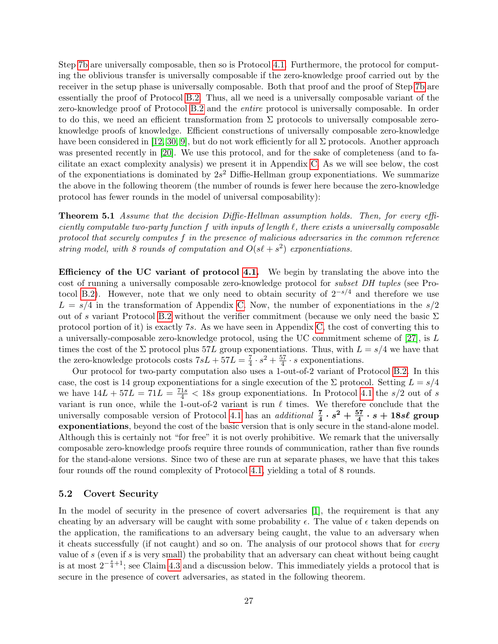Step [7b](#page-16-5) are universally composable, then so is Protocol [4.1.](#page-16-6) Furthermore, the protocol for computing the oblivious transfer is universally composable if the zero-knowledge proof carried out by the receiver in the setup phase is universally composable. Both that proof and the proof of Step [7b](#page-16-5) are essentially the proof of Protocol [B.2.](#page-34-0) Thus, all we need is a universally composable variant of the zero-knowledge proof of Protocol [B.2](#page-34-0) and the entire protocol is universally composable. In order to do this, we need an efficient transformation from  $\Sigma$  protocols to universally composable zeroknowledge proofs of knowledge. Efficient constructions of universally composable zero-knowledge have been considered in [\[12,](#page-29-12) [30,](#page-30-13) [9\]](#page-29-13), but do not work efficiently for all  $\Sigma$  protocols. Another approach was presented recently in [\[20\]](#page-29-14). We use this protocol, and for the sake of completeness (and to facilitate an exact complexity analysis) we present it in Appendix [C.](#page-36-0) As we will see below, the cost of the exponentiations is dominated by  $2s^2$  Diffie-Hellman group exponentiations. We summarize the above in the following theorem (the number of rounds is fewer here because the zero-knowledge protocol has fewer rounds in the model of universal composability):

Theorem 5.1 Assume that the decision Diffie-Hellman assumption holds. Then, for every efficiently computable two-party function  $f$  with inputs of length  $\ell$ , there exists a universally composable protocol that securely computes f in the presence of malicious adversaries in the common reference string model, with 8 rounds of computation and  $O(s\ell + s^2)$  exponentiations.

Efficiency of the UC variant of protocol [4.1.](#page-16-6) We begin by translating the above into the cost of running a universally composable zero-knowledge protocol for subset DH tuples (see Pro-tocol [B.2\)](#page-34-0). However, note that we only need to obtain security of  $2^{-s/4}$  and therefore we use  $L = s/4$  in the transformation of Appendix [C.](#page-36-0) Now, the number of exponentiations in the  $s/2$ out of s variant Protocol [B.2](#page-34-0) without the verifier commitment (because we only need the basic  $\Sigma$ protocol portion of it) is exactly 7s. As we have seen in Appendix [C,](#page-36-0) the cost of converting this to a universally-composable zero-knowledge protocol, using the UC commitment scheme of [\[27\]](#page-30-14), is L times the cost of the  $\Sigma$  protocol plus 57L group exponentiations. Thus, with  $L = s/4$  we have that the zero-knowledge protocols costs  $7sL + 57L = \frac{7}{4}$  $\frac{7}{4} \cdot s^2 + \frac{57}{4}$  $\frac{57}{4} \cdot s$  exponentiations.

Our protocol for two-party computation also uses a 1-out-of-2 variant of Protocol [B.2.](#page-34-0) In this case, the cost is 14 group exponentiations for a single execution of the  $\Sigma$  protocol. Setting  $L = s/4$ we have  $14L + 57L = 71L = \frac{71s}{4} < 18s$  group exponentiations. In Protocol [4.1](#page-16-6) the  $s/2$  out of s variant is run once, while the 1-out-of-2 variant is run  $\ell$  times. We therefore conclude that the universally composable version of Protocol [4.1](#page-16-6) has an *additional*  $\frac{7}{4} \cdot s^2 + \frac{57}{4} \cdot s + 18s\ell$  group exponentiations, beyond the cost of the basic version that is only secure in the stand-alone model. Although this is certainly not "for free" it is not overly prohibitive. We remark that the universally composable zero-knowledge proofs require three rounds of communication, rather than five rounds for the stand-alone versions. Since two of these are run at separate phases, we have that this takes four rounds off the round complexity of Protocol [4.1,](#page-16-6) yielding a total of 8 rounds.

#### <span id="page-27-0"></span>5.2 Covert Security

In the model of security in the presence of covert adversaries [\[1\]](#page-28-3), the requirement is that any cheating by an adversary will be caught with some probability  $\epsilon$ . The value of  $\epsilon$  taken depends on the application, the ramifications to an adversary being caught, the value to an adversary when it cheats successfully (if not caught) and so on. The analysis of our protocol shows that for every value of s (even if s is very small) the probability that an adversary can cheat without being caught is at most  $2^{-\frac{s}{4}+1}$ ; see Claim [4.3](#page-19-0) and a discussion below. This immediately yields a protocol that is secure in the presence of covert adversaries, as stated in the following theorem.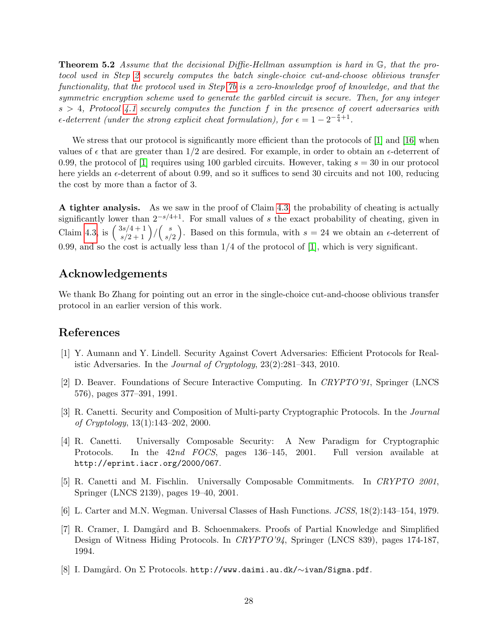**Theorem 5.2** Assume that the decisional Diffie-Hellman assumption is hard in  $\mathbb{G}$ , that the protocol used in Step [2](#page-16-4) securely computes the batch single-choice cut-and-choose oblivious transfer functionality, that the protocol used in Step [7b](#page-16-5) is a zero-knowledge proof of knowledge, and that the symmetric encryption scheme used to generate the garbled circuit is secure. Then, for any integer  $s > 4$ , Protocol [4.1](#page-16-6) securely computes the function f in the presence of covert adversaries with  $\epsilon$ -deterrent (under the strong explicit cheat formulation), for  $\epsilon = 1 - 2^{-\frac{s}{4}+1}$ .

We stress that our protocol is significantly more efficient than the protocols of  $[1]$  and  $[16]$  when values of  $\epsilon$  that are greater than  $1/2$  are desired. For example, in order to obtain an  $\epsilon$ -deterrent of 0.99, the protocol of [\[1\]](#page-28-3) requires using 100 garbled circuits. However, taking  $s = 30$  in our protocol here yields an  $\epsilon$ -deterrent of about 0.99, and so it suffices to send 30 circuits and not 100, reducing the cost by more than a factor of 3.

A tighter analysis. As we saw in the proof of Claim [4.3,](#page-19-0) the probability of cheating is actually significantly lower than  $2^{-s/4+1}$ . For small values of s the exact probability of cheating, given in Claim [4.3,](#page-19-0) is  $\binom{3s/4+1}{s/2+1}/\binom{s}{s/4}$  $s/2$ ). Based on this formula, with  $s = 24$  we obtain an  $\epsilon$ -deterrent of 0.99, and so the cost is actually less than 1/4 of the protocol of [\[1\]](#page-28-3), which is very significant.

# Acknowledgements

We thank Bo Zhang for pointing out an error in the single-choice cut-and-choose oblivious transfer protocol in an earlier version of this work.

## References

- <span id="page-28-3"></span>[1] Y. Aumann and Y. Lindell. Security Against Covert Adversaries: Efficient Protocols for Realistic Adversaries. In the Journal of Cryptology, 23(2):281–343, 2010.
- <span id="page-28-0"></span>[2] D. Beaver. Foundations of Secure Interactive Computing. In CRYPTO'91, Springer (LNCS 576), pages 377–391, 1991.
- <span id="page-28-1"></span>[3] R. Canetti. Security and Composition of Multi-party Cryptographic Protocols. In the Journal of Cryptology, 13(1):143–202, 2000.
- <span id="page-28-2"></span>[4] R. Canetti. Universally Composable Security: A New Paradigm for Cryptographic Protocols. In the 42nd FOCS, pages 136–145, 2001. Full version available at http://eprint.iacr.org/2000/067.
- <span id="page-28-7"></span>[5] R. Canetti and M. Fischlin. Universally Composable Commitments. In CRYPTO 2001, Springer (LNCS 2139), pages 19–40, 2001.
- <span id="page-28-5"></span>[6] L. Carter and M.N. Wegman. Universal Classes of Hash Functions. JCSS, 18(2):143–154, 1979.
- <span id="page-28-4"></span>[7] R. Cramer, I. Damgård and B. Schoenmakers. Proofs of Partial Knowledge and Simplified Design of Witness Hiding Protocols. In CRYPTO'94, Springer (LNCS 839), pages 174-187, 1994.
- <span id="page-28-6"></span>[8] I. Damgård. On Σ Protocols. http://www.daimi.au.dk/∼ivan/Sigma.pdf.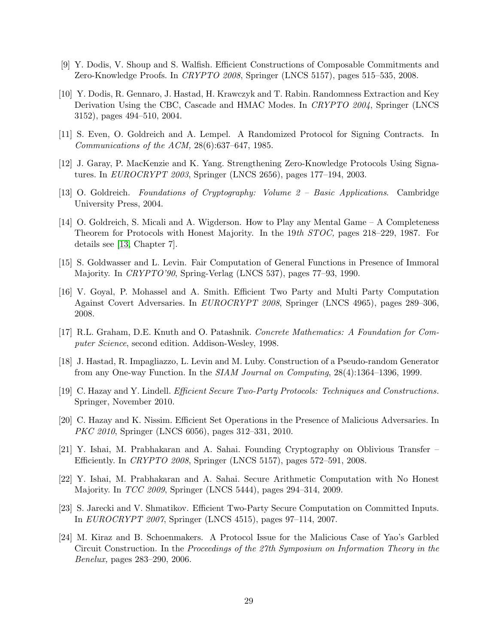- <span id="page-29-13"></span>[9] Y. Dodis, V. Shoup and S. Walfish. Efficient Constructions of Composable Commitments and Zero-Knowledge Proofs. In CRYPTO 2008, Springer (LNCS 5157), pages 515–535, 2008.
- <span id="page-29-9"></span>[10] Y. Dodis, R. Gennaro, J. Hastad, H. Krawczyk and T. Rabin. Randomness Extraction and Key Derivation Using the CBC, Cascade and HMAC Modes. In *CRYPTO 2004*, Springer (LNCS 3152), pages 494–510, 2004.
- <span id="page-29-5"></span>[11] S. Even, O. Goldreich and A. Lempel. A Randomized Protocol for Signing Contracts. In Communications of the ACM, 28(6):637–647, 1985.
- <span id="page-29-12"></span>[12] J. Garay, P. MacKenzie and K. Yang. Strengthening Zero-Knowledge Protocols Using Signatures. In EUROCRYPT 2003, Springer (LNCS 2656), pages 177–194, 2003.
- <span id="page-29-7"></span>[13] O. Goldreich. Foundations of Cryptography: Volume 2 – Basic Applications. Cambridge University Press, 2004.
- <span id="page-29-0"></span>[14] O. Goldreich, S. Micali and A. Wigderson. How to Play any Mental Game – A Completeness Theorem for Protocols with Honest Majority. In the 19th STOC, pages 218–229, 1987. For details see [\[13,](#page-29-7) Chapter 7].
- <span id="page-29-1"></span>[15] S. Goldwasser and L. Levin. Fair Computation of General Functions in Presence of Immoral Majority. In CRYPTO'90, Spring-Verlag (LNCS 537), pages 77–93, 1990.
- <span id="page-29-11"></span>[16] V. Goyal, P. Mohassel and A. Smith. Efficient Two Party and Multi Party Computation Against Covert Adversaries. In EUROCRYPT 2008, Springer (LNCS 4965), pages 289–306, 2008.
- <span id="page-29-10"></span>[17] R.L. Graham, D.E. Knuth and O. Patashnik. Concrete Mathematics: A Foundation for Computer Science, second edition. Addison-Wesley, 1998.
- <span id="page-29-8"></span>[18] J. Hastad, R. Impagliazzo, L. Levin and M. Luby. Construction of a Pseudo-random Generator from any One-way Function. In the SIAM Journal on Computing, 28(4):1364–1396, 1999.
- <span id="page-29-15"></span>[19] C. Hazay and Y. Lindell. Efficient Secure Two-Party Protocols: Techniques and Constructions. Springer, November 2010.
- <span id="page-29-14"></span>[20] C. Hazay and K. Nissim. Efficient Set Operations in the Presence of Malicious Adversaries. In PKC 2010, Springer (LNCS 6056), pages 312–331, 2010.
- <span id="page-29-3"></span>[21] Y. Ishai, M. Prabhakaran and A. Sahai. Founding Cryptography on Oblivious Transfer – Efficiently. In CRYPTO 2008, Springer (LNCS 5157), pages 572–591, 2008.
- <span id="page-29-6"></span>[22] Y. Ishai, M. Prabhakaran and A. Sahai. Secure Arithmetic Computation with No Honest Majority. In TCC 2009, Springer (LNCS 5444), pages 294–314, 2009.
- <span id="page-29-2"></span>[23] S. Jarecki and V. Shmatikov. Efficient Two-Party Secure Computation on Committed Inputs. In EUROCRYPT 2007, Springer (LNCS 4515), pages 97–114, 2007.
- <span id="page-29-4"></span>[24] M. Kiraz and B. Schoenmakers. A Protocol Issue for the Malicious Case of Yao's Garbled Circuit Construction. In the Proceedings of the 27th Symposium on Information Theory in the Benelux, pages 283–290, 2006.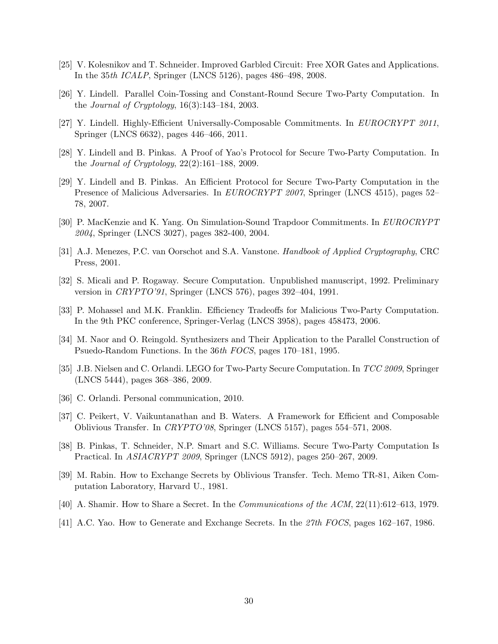- <span id="page-30-7"></span>[25] V. Kolesnikov and T. Schneider. Improved Garbled Circuit: Free XOR Gates and Applications. In the 35th ICALP, Springer (LNCS 5126), pages 486–498, 2008.
- <span id="page-30-11"></span>[26] Y. Lindell. Parallel Coin-Tossing and Constant-Round Secure Two-Party Computation. In the Journal of Cryptology, 16(3):143–184, 2003.
- <span id="page-30-14"></span>[27] Y. Lindell. Highly-Efficient Universally-Composable Commitments. In EUROCRYPT 2011, Springer (LNCS 6632), pages 446–466, 2011.
- <span id="page-30-15"></span>[28] Y. Lindell and B. Pinkas. A Proof of Yao's Protocol for Secure Two-Party Computation. In the Journal of Cryptology, 22(2):161–188, 2009.
- <span id="page-30-2"></span>[29] Y. Lindell and B. Pinkas. An Efficient Protocol for Secure Two-Party Computation in the Presence of Malicious Adversaries. In *EUROCRYPT 2007*, Springer (LNCS 4515), pages 52– 78, 2007.
- <span id="page-30-13"></span>[30] P. MacKenzie and K. Yang. On Simulation-Sound Trapdoor Commitments. In EUROCRYPT 2004, Springer (LNCS 3027), pages 382-400, 2004.
- <span id="page-30-12"></span>[31] A.J. Menezes, P.C. van Oorschot and S.A. Vanstone. Handbook of Applied Cryptography, CRC Press, 2001.
- <span id="page-30-0"></span>[32] S. Micali and P. Rogaway. Secure Computation. Unpublished manuscript, 1992. Preliminary version in CRYPTO'91, Springer (LNCS 576), pages 392–404, 1991.
- <span id="page-30-5"></span>[33] P. Mohassel and M.K. Franklin. Efficiency Tradeoffs for Malicious Two-Party Computation. In the 9th PKC conference, Springer-Verlag (LNCS 3958), pages 458473, 2006.
- <span id="page-30-6"></span>[34] M. Naor and O. Reingold. Synthesizers and Their Application to the Parallel Construction of Psuedo-Random Functions. In the 36th FOCS, pages 170–181, 1995.
- <span id="page-30-3"></span>[35] J.B. Nielsen and C. Orlandi. LEGO for Two-Party Secure Computation. In TCC 2009, Springer (LNCS 5444), pages 368–386, 2009.
- <span id="page-30-9"></span>[36] C. Orlandi. Personal communication, 2010.
- <span id="page-30-10"></span>[37] C. Peikert, V. Vaikuntanathan and B. Waters. A Framework for Efficient and Composable Oblivious Transfer. In CRYPTO'08, Springer (LNCS 5157), pages 554–571, 2008.
- <span id="page-30-4"></span>[38] B. Pinkas, T. Schneider, N.P. Smart and S.C. Williams. Secure Two-Party Computation Is Practical. In ASIACRYPT 2009, Springer (LNCS 5912), pages 250–267, 2009.
- <span id="page-30-8"></span>[39] M. Rabin. How to Exchange Secrets by Oblivious Transfer. Tech. Memo TR-81, Aiken Computation Laboratory, Harvard U., 1981.
- <span id="page-30-16"></span>[40] A. Shamir. How to Share a Secret. In the Communications of the ACM, 22(11):612–613, 1979.
- <span id="page-30-1"></span>[41] A.C. Yao. How to Generate and Exchange Secrets. In the 27th FOCS, pages 162–167, 1986.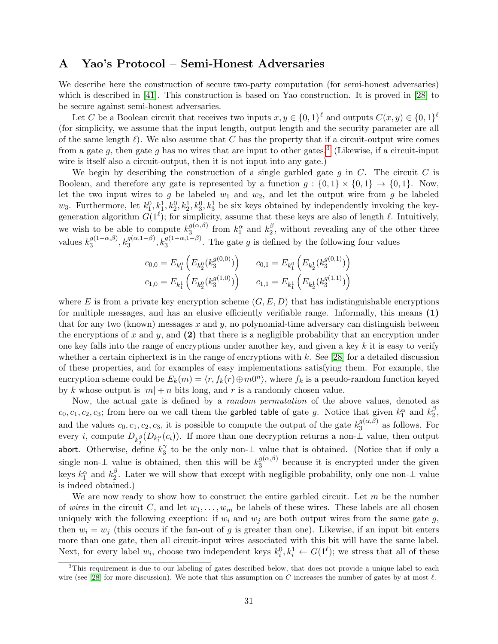### <span id="page-31-0"></span>A Yao's Protocol – Semi-Honest Adversaries

We describe here the construction of secure two-party computation (for semi-honest adversaries) which is described in [\[41\]](#page-30-1). This construction is based on Yao construction. It is proved in [\[28\]](#page-30-15) to be secure against semi-honest adversaries.

Let C be a Boolean circuit that receives two inputs  $x, y \in \{0,1\}^{\ell}$  and outputs  $C(x, y) \in \{0,1\}^{\ell}$ (for simplicity, we assume that the input length, output length and the security parameter are all of the same length  $\ell$ ). We also assume that C has the property that if a circuit-output wire comes from a gate g, then gate g has no wires that are input to other gates.<sup>[3](#page-31-1)</sup> (Likewise, if a circuit-input wire is itself also a circuit-output, then it is not input into any gate.)

We begin by describing the construction of a single garbled gate g in C. The circuit C is Boolean, and therefore any gate is represented by a function  $g : \{0,1\} \times \{0,1\} \rightarrow \{0,1\}$ . Now, let the two input wires to g be labeled  $w_1$  and  $w_2$ , and let the output wire from g be labeled w<sub>3</sub>. Furthermore, let  $k_1^0, k_1^1, k_2^0, k_3^1, k_3^0, k_3^1$  be six keys obtained by independently invoking the keygeneration algorithm  $G(1^{\ell})$ ; for simplicity, assume that these keys are also of length  $\ell$ . Intuitively, we wish to be able to compute  $k_3^{g(\alpha,\beta)}$  $s^{g(\alpha,\beta)}$  from  $k_1^{\alpha}$  and  $k_2^{\beta}$  $2^{\rho}$ , without revealing any of the other three values  $k_3^{g(1-\alpha,\beta)}$  $s_3^{(1-\alpha,\beta)}, k_3^{(1-\alpha,1-\beta)}, k_3^{(1-\alpha,1-\beta)}$ . The gate g is defined by the following four values

$$
\begin{aligned} c_{0,0} &= E_{k_1^0}\left(E_{k_2^0}(k_3^{g(0,0)})\right) \qquad c_{0,1} = E_{k_1^0}\left(E_{k_2^1}(k_3^{g(0,1)})\right) \\ c_{1,0} &= E_{k_1^1}\left(E_{k_2^0}(k_3^{g(1,0)})\right) \qquad c_{1,1} = E_{k_1^1}\left(E_{k_2^1}(k_3^{g(1,1)})\right) \end{aligned}
$$

where E is from a private key encryption scheme  $(G, E, D)$  that has indistinguishable encryptions for multiple messages, and has an elusive efficiently verifiable range. Informally, this means (1) that for any two (known) messages x and y, no polynomial-time adversary can distinguish between the encryptions of x and y, and  $(2)$  that there is a negligible probability that an encryption under one key falls into the range of encryptions under another key, and given a key  $k$  it is easy to verify whether a certain ciphertext is in the range of encryptions with  $k$ . See [\[28\]](#page-30-15) for a detailed discussion of these properties, and for examples of easy implementations satisfying them. For example, the encryption scheme could be  $E_k(m) = \langle r, f_k(r) \oplus m0^n \rangle$ , where  $f_k$  is a pseudo-random function keyed by k whose output is  $|m| + n$  bits long, and r is a randomly chosen value.

Now, the actual gate is defined by a random permutation of the above values, denoted as  $c_0, c_1, c_2, c_3;$  from here on we call them the **garbled table** of gate  $g$ . Notice that given  $k_1^{\alpha}$  and  $k_2^{\beta}$  $\frac{p}{2}$ and the values  $c_0, c_1, c_2, c_3$ , it is possible to compute the output of the gate  $k_3^{g(\alpha,\beta)}$  $_3^{g(\alpha,p)}$  as follows. For every *i*, compute  $D_{k_2^{\beta}}(D_{k_1^{\alpha}}(c_i))$ . If more than one decryption returns a non- $\perp$  value, then output abort. Otherwise, define  $k_3^{\gamma}$  $\gamma_3^{\gamma}$  to be the only non- $\perp$  value that is obtained. (Notice that if only a single non- $\perp$  value is obtained, then this will be  $k_3^{g(\alpha,\beta)}$  $3^{(0,\rho)}$  because it is encrypted under the given keys  $k_1^{\alpha}$  and  $k_2^{\beta}$ <sup>2</sup>. Later we will show that except with negligible probability, only one non- $\perp$  value is indeed obtained.)

We are now ready to show how to construct the entire garbled circuit. Let  $m$  be the number of wires in the circuit C, and let  $w_1, \ldots, w_m$  be labels of these wires. These labels are all chosen uniquely with the following exception: if  $w_i$  and  $w_j$  are both output wires from the same gate g, then  $w_i = w_j$  (this occurs if the fan-out of g is greater than one). Likewise, if an input bit enters more than one gate, then all circuit-input wires associated with this bit will have the same label. Next, for every label  $w_i$ , choose two independent keys  $k_i^0, k_i^1 \leftarrow G(1^{\ell})$ ; we stress that all of these

<span id="page-31-1"></span><sup>&</sup>lt;sup>3</sup>This requirement is due to our labeling of gates described below, that does not provide a unique label to each wire (see [\[28\]](#page-30-15) for more discussion). We note that this assumption on C increases the number of gates by at most  $\ell$ .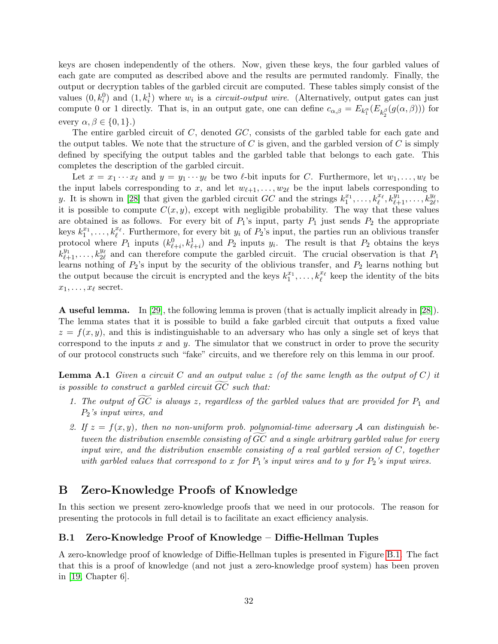keys are chosen independently of the others. Now, given these keys, the four garbled values of each gate are computed as described above and the results are permuted randomly. Finally, the output or decryption tables of the garbled circuit are computed. These tables simply consist of the values  $(0, k_i^0)$  and  $(1, k_i^1)$  where  $w_i$  is a *circuit-output wire*. (Alternatively, output gates can just compute 0 or 1 directly. That is, in an output gate, one can define  $c_{\alpha,\beta} = E_{k_1^{\alpha}}(E_{k_2^{\beta}}(g(\alpha,\beta)))$  for every  $\alpha, \beta \in \{0, 1\}$ .)

The entire garbled circuit of C, denoted GC, consists of the garbled table for each gate and the output tables. We note that the structure of  $C$  is given, and the garbled version of  $C$  is simply defined by specifying the output tables and the garbled table that belongs to each gate. This completes the description of the garbled circuit.

Let  $x = x_1 \cdots x_\ell$  and  $y = y_1 \cdots y_\ell$  be two  $\ell$ -bit inputs for C. Furthermore, let  $w_1, \ldots, w_\ell$  be the input labels corresponding to x, and let  $w_{\ell+1}, \ldots, w_{2\ell}$  be the input labels corresponding to y. It is shown in [\[28\]](#page-30-15) that given the garbled circuit GC and the strings  $k_1^{x_1}, \ldots, k_\ell^{x_\ell}, k_{\ell+1}^{y_1}, \ldots, k_{2\ell}^{y_\ell}$ it is possible to compute  $C(x, y)$ , except with negligible probability. The way that these values are obtained is as follows. For every bit of  $P_1$ 's input, party  $P_1$  just sends  $P_2$  the appropriate keys  $k_1^{x_1}, \ldots, k_\ell^{x_\ell}$ . Furthermore, for every bit  $y_i$  of  $P_2$ 's input, the parties run an oblivious transfer protocol where  $P_1$  inputs  $(k_{\ell+i}^0, k_{\ell+i}^1)$  and  $P_2$  inputs  $y_i$ . The result is that  $P_2$  obtains the keys  $k_{\ell+1}^{y_1}, \ldots, k_{2\ell}^{y_\ell}$  and can therefore compute the garbled circuit. The crucial observation is that  $P_1$ learns nothing of  $P_2$ 's input by the security of the oblivious transfer, and  $P_2$  learns nothing but the output because the circuit is encrypted and the keys  $k_1^{x_1}, \ldots, k_\ell^{x_\ell}$  keep the identity of the bits  $x_1, \ldots, x_\ell$  secret.

A useful lemma. In [\[29\]](#page-30-2), the following lemma is proven (that is actually implicit already in [\[28\]](#page-30-15)). The lemma states that it is possible to build a fake garbled circuit that outputs a fixed value  $z = f(x, y)$ , and this is indistinguishable to an adversary who has only a single set of keys that correspond to the inputs  $x$  and  $y$ . The simulator that we construct in order to prove the security of our protocol constructs such "fake" circuits, and we therefore rely on this lemma in our proof.

<span id="page-32-1"></span>**Lemma A.1** Given a circuit C and an output value z (of the same length as the output of C) it is possible to construct a garbled circuit  $\overline{GC}$  such that:

- 1. The output of  $\widetilde{GC}$  is always z, regardless of the garbled values that are provided for  $P_1$  and P2's input wires, and
- 2. If  $z = f(x, y)$ , then no non-uniform prob. polynomial-time adversary A can distinguish between the distribution ensemble consisting of  $GC$  and a single arbitrary garbled value for every input wire, and the distribution ensemble consisting of a real garbled version of  $C$ , together with garbled values that correspond to x for  $P_1$ 's input wires and to y for  $P_2$ 's input wires.

### <span id="page-32-0"></span>B Zero-Knowledge Proofs of Knowledge

In this section we present zero-knowledge proofs that we need in our protocols. The reason for presenting the protocols in full detail is to facilitate an exact efficiency analysis.

#### B.1 Zero-Knowledge Proof of Knowledge – Diffie-Hellman Tuples

A zero-knowledge proof of knowledge of Diffie-Hellman tuples is presented in Figure [B.1.](#page-33-1) The fact that this is a proof of knowledge (and not just a zero-knowledge proof system) has been proven in [\[19,](#page-29-15) Chapter 6].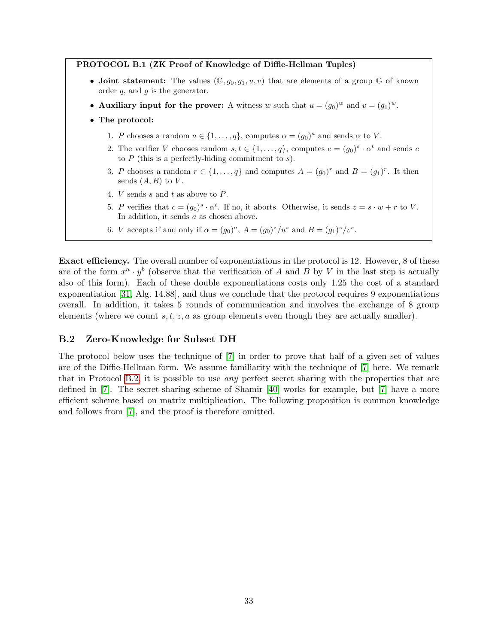#### <span id="page-33-1"></span>PROTOCOL B.1 (ZK Proof of Knowledge of Diffie-Hellman Tuples)

- Joint statement: The values  $(\mathbb{G}, g_0, g_1, u, v)$  that are elements of a group  $\mathbb{G}$  of known order  $q$ , and  $q$  is the generator.
- Auxiliary input for the prover: A witness w such that  $u = (g_0)^w$  and  $v = (g_1)^w$ .
- The protocol:
	- 1. P chooses a random  $a \in \{1, ..., q\}$ , computes  $\alpha = (g_0)^a$  and sends  $\alpha$  to V.
	- 2. The verifier V chooses random  $s, t \in \{1, ..., q\}$ , computes  $c = (g_0)^s \cdot \alpha^t$  and sends c to  $P$  (this is a perfectly-hiding commitment to  $s$ ).
	- 3. P chooses a random  $r \in \{1, ..., q\}$  and computes  $A = (g_0)^r$  and  $B = (g_1)^r$ . It then sends  $(A, B)$  to V.
	- 4. V sends s and t as above to P.
	- 5. P verifies that  $c = (g_0)^s \cdot \alpha^t$ . If no, it aborts. Otherwise, it sends  $z = s \cdot w + r$  to V. In addition, it sends  $a$  as chosen above.
	- 6. V accepts if and only if  $\alpha = (g_0)^a$ ,  $A = (g_0)^z/u^s$  and  $B = (g_1)^z/v^s$ .

Exact efficiency. The overall number of exponentiations in the protocol is 12. However, 8 of these are of the form  $x^a \cdot y^b$  (observe that the verification of A and B by V in the last step is actually also of this form). Each of these double exponentiations costs only 1.25 the cost of a standard exponentiation [\[31,](#page-30-12) Alg. 14.88], and thus we conclude that the protocol requires 9 exponentiations overall. In addition, it takes 5 rounds of communication and involves the exchange of 8 group elements (where we count  $s, t, z, a$  as group elements even though they are actually smaller).

#### <span id="page-33-0"></span>B.2 Zero-Knowledge for Subset DH

The protocol below uses the technique of [\[7\]](#page-28-4) in order to prove that half of a given set of values are of the Diffie-Hellman form. We assume familiarity with the technique of [\[7\]](#page-28-4) here. We remark that in Protocol [B.2,](#page-34-0) it is possible to use any perfect secret sharing with the properties that are defined in [\[7\]](#page-28-4). The secret-sharing scheme of Shamir [\[40\]](#page-30-16) works for example, but [\[7\]](#page-28-4) have a more efficient scheme based on matrix multiplication. The following proposition is common knowledge and follows from [\[7\]](#page-28-4), and the proof is therefore omitted.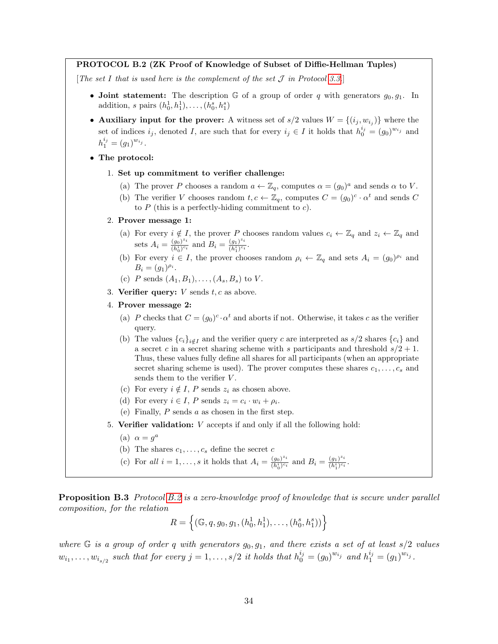<span id="page-34-0"></span>PROTOCOL B.2 (ZK Proof of Knowledge of Subset of Diffie-Hellman Tuples)

[The set I that is used here is the complement of the set  $\mathcal J$  in Protocol [3.3.](#page-9-0)]

- Joint statement: The description  $\mathbb G$  of a group of order q with generators  $g_0, g_1$ . In addition, *s* pairs  $(h_0^1, h_1^1), \ldots, (h_0^s, h_1^s)$
- Auxiliary input for the prover: A witness set of  $s/2$  values  $W = \{(i_j, w_{i_j})\}$  where the set of indices  $i_j$ , denoted I, are such that for every  $i_j \in I$  it holds that  $h_0^{i_j} = (g_0)^{w_{i_j}}$  and  $h_1^{i_j} = (g_1)^{w_{i_j}}.$
- The protocol:
	- 1. Set up commitment to verifier challenge:
		- (a) The prover P chooses a random  $a \leftarrow \mathbb{Z}_q$ , computes  $\alpha = (g_0)^a$  and sends  $\alpha$  to V.
		- (b) The verifier V chooses random  $t, c \leftarrow \mathbb{Z}_q$ , computes  $C = (g_0)^c \cdot \alpha^t$  and sends C to  $P$  (this is a perfectly-hiding commitment to  $c$ ).
	- 2. Prover message 1:
		- (a) For every  $i \notin I$ , the prover P chooses random values  $c_i \leftarrow \mathbb{Z}_q$  and  $z_i \leftarrow \mathbb{Z}_q$  and sets  $A_i = \frac{(g_0)^{z_i}}{(h^i)^{c_i}}$  $\frac{(g_0)^{z_i}}{(h_0^i)^{c_i}}$  and  $B_i = \frac{(g_1)^{z_i}}{(h_1^i)^{c_i}}$  $\frac{(g_1)^{-i}}{(h_1^i)^{c_i}}$ .
		- (b) For every  $i \in I$ , the prover chooses random  $\rho_i \leftarrow \mathbb{Z}_q$  and sets  $A_i = (g_0)^{\rho_i}$  and  $B_i = (g_1)^{\rho_i}.$
		- (c) P sends  $(A_1, B_1), \ldots, (A_s, B_s)$  to V.
	- 3. Verifier query:  $V$  sends  $t, c$  as above.
	- 4. Prover message 2:
		- (a) P checks that  $C = (g_0)^c \cdot \alpha^t$  and aborts if not. Otherwise, it takes c as the verifier query.
		- (b) The values  ${c_i}_{i \notin I}$  and the verifier query c are interpreted as  $s/2$  shares  ${c_i}$  and a secret c in a secret sharing scheme with s participants and threshold  $s/2 + 1$ . Thus, these values fully define all shares for all participants (when an appropriate secret sharing scheme is used). The prover computes these shares  $c_1, \ldots, c_s$  and sends them to the verifier  $V$ .
		- (c) For every  $i \notin I$ , P sends  $z_i$  as chosen above.
		- (d) For every  $i \in I$ , P sends  $z_i = c_i \cdot w_i + \rho_i$ .
		- (e) Finally,  $P$  sends  $a$  as chosen in the first step.
	- 5. Verifier validation: V accepts if and only if all the following hold:
		- (a)  $\alpha = g^a$
		- (b) The shares  $c_1, \ldots, c_s$  define the secret c
		- (c) For all  $i = 1, \ldots, s$  it holds that  $A_i = \frac{(g_0)^{z_i}}{(h_i^i)^{c_i}}$  $\frac{(g_0)^{z_i}}{(h_0^i)^{c_i}}$  and  $B_i = \frac{(g_1)^{z_i}}{(h_1^i)^{c_i}}$  $\overline{(h_1^i)^{c_i}}$ .

<span id="page-34-1"></span>**Proposition B.3** Protocol [B.2](#page-34-0) is a zero-knowledge proof of knowledge that is secure under parallel composition, for the relation

$$
R = \left\{ (\mathbb{G}, q, g_0, g_1, (h_0^1, h_1^1), \dots, (h_0^s, h_1^s)) \right\}
$$

where  $\mathbb G$  is a group of order  $q$  with generators  $g_0, g_1$ , and there exists a set of at least  $s/2$  values  $w_{i_1}, \ldots, w_{i_{s/2}}$  such that for every  $j = 1, \ldots, s/2$  it holds that  $h_0^{i_j} = (g_0)^{w_{i_j}}$  and  $h_1^{i_j} = (g_1)^{w_{i_j}}$ .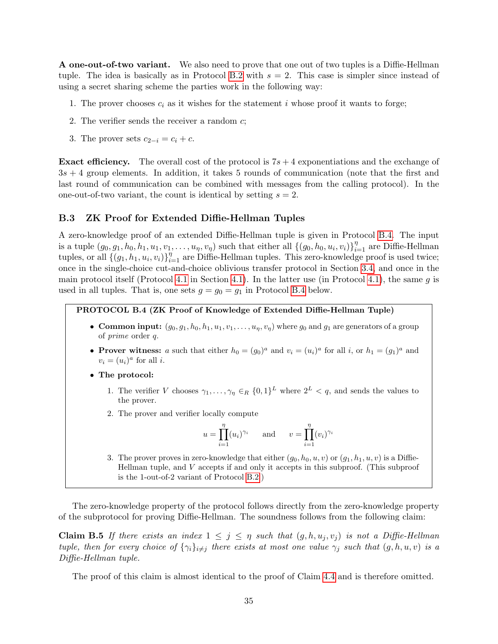A one-out-of-two variant. We also need to prove that one out of two tuples is a Diffie-Hellman tuple. The idea is basically as in Protocol [B.2](#page-34-0) with  $s = 2$ . This case is simpler since instead of using a secret sharing scheme the parties work in the following way:

- 1. The prover chooses  $c_i$  as it wishes for the statement i whose proof it wants to forge;
- 2. The verifier sends the receiver a random  $c$ ;
- 3. The prover sets  $c_{2-i} = c_i + c$ .

**Exact efficiency.** The overall cost of the protocol is  $7s + 4$  exponentiations and the exchange of  $3s + 4$  group elements. In addition, it takes 5 rounds of communication (note that the first and last round of communication can be combined with messages from the calling protocol). In the one-out-of-two variant, the count is identical by setting  $s = 2$ .

#### <span id="page-35-1"></span>B.3 ZK Proof for Extended Diffie-Hellman Tuples

A zero-knowledge proof of an extended Diffie-Hellman tuple is given in Protocol [B.4.](#page-35-0) The input is a tuple  $(g_0, g_1, h_0, h_1, u_1, v_1, \ldots, u_n, v_n)$  such that either all  $\{(g_0, h_0, u_i, v_i)\}_{i=1}^n$  are Diffie-Hellman tuples, or all  $\{(g_1, h_1, u_i, v_i)\}_{i=1}^{\eta}$  are Diffie-Hellman tuples. This zero-knowledge proof is used twice; once in the single-choice cut-and-choice oblivious transfer protocol in Section [3.4,](#page-12-1) and once in the main protocol itself (Protocol [4.1](#page-16-6) in Section [4.1\)](#page-16-6). In the latter use (in Protocol 4.1), the same  $q$  is used in all tuples. That is, one sets  $g = g_0 = g_1$  in Protocol [B.4](#page-35-0) below.

#### <span id="page-35-0"></span>PROTOCOL B.4 (ZK Proof of Knowledge of Extended Diffie-Hellman Tuple)

- Common input:  $(g_0, g_1, h_0, h_1, u_1, v_1, \ldots, u_n, v_n)$  where  $g_0$  and  $g_1$  are generators of a group of prime order q.
- Prover witness: a such that either  $h_0 = (g_0)^a$  and  $v_i = (u_i)^a$  for all i, or  $h_1 = (g_1)^a$  and  $v_i = (u_i)^a$  for all *i*.
- The protocol:
	- 1. The verifier V chooses  $\gamma_1, \ldots, \gamma_\eta \in_R \{0,1\}^L$  where  $2^L < q$ , and sends the values to the prover.
	- 2. The prover and verifier locally compute

$$
u = \prod_{i=1}^{\eta} (u_i)^{\gamma_i} \quad \text{and} \quad v = \prod_{i=1}^{\eta} (v_i)^{\gamma_i}
$$

3. The prover proves in zero-knowledge that either  $(g_0, h_0, u, v)$  or  $(g_1, h_1, u, v)$  is a Diffie-Hellman tuple, and V accepts if and only it accepts in this subproof. (This subproof is the 1-out-of-2 variant of Protocol [B.2.](#page-34-0))

The zero-knowledge property of the protocol follows directly from the zero-knowledge property of the subprotocol for proving Diffie-Hellman. The soundness follows from the following claim:

**Claim B.5** If there exists an index  $1 \leq j \leq \eta$  such that  $(g, h, u_j, v_j)$  is not a Diffie-Hellman tuple, then for every choice of  $\{\gamma_i\}_{i\neq j}$  there exists at most one value  $\gamma_j$  such that  $(g, h, u, v)$  is a Diffie-Hellman tuple.

The proof of this claim is almost identical to the proof of Claim [4.4](#page-25-0) and is therefore omitted.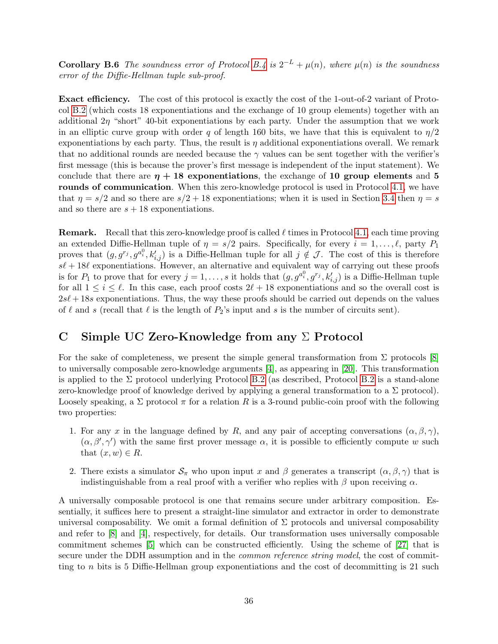**Corollary B.6** The soundness error of Protocol [B.4](#page-35-0) is  $2^{-L} + \mu(n)$ , where  $\mu(n)$  is the soundness error of the Diffie-Hellman tuple sub-proof.

Exact efficiency. The cost of this protocol is exactly the cost of the 1-out-of-2 variant of Protocol [B.2](#page-34-0) (which costs 18 exponentiations and the exchange of 10 group elements) together with an additional 2η "short" 40-bit exponentiations by each party. Under the assumption that we work in an elliptic curve group with order q of length 160 bits, we have that this is equivalent to  $\eta/2$ exponentiations by each party. Thus, the result is  $\eta$  additional exponentiations overall. We remark that no additional rounds are needed because the  $\gamma$  values can be sent together with the verifier's first message (this is because the prover's first message is independent of the input statement). We conclude that there are  $\eta + 18$  exponentiations, the exchange of 10 group elements and 5 rounds of communication. When this zero-knowledge protocol is used in Protocol [4.1,](#page-16-6) we have that  $\eta = s/2$  and so there are  $s/2 + 18$  exponentiations; when it is used in Section [3.4](#page-12-1) then  $\eta = s$ and so there are  $s + 18$  exponentiations.

**Remark.** Recall that this zero-knowledge proof is called  $\ell$  times in Protocol [4.1,](#page-16-6) each time proving an extended Diffie-Hellman tuple of  $\eta = s/2$  pairs. Specifically, for every  $i = 1, \ldots, \ell$ , party  $P_1$ proves that  $(g, g^{r_j}, g^{a_i^0}, k'_{i,j})$  is a Diffie-Hellman tuple for all  $j \notin \mathcal{J}$ . The cost of this is therefore  $s\ell + 18\ell$  exponentiations. However, an alternative and equivalent way of carrying out these proofs is for  $P_1$  to prove that for every  $j = 1, \ldots, s$  it holds that  $(g, g^{a_i^0}, g^{r_j}, k'_{i,j})$  is a Diffie-Hellman tuple for all  $1 \leq i \leq \ell$ . In this case, each proof costs  $2\ell + 18$  exponentiations and so the overall cost is  $2s\ell + 18s$  exponentiations. Thus, the way these proofs should be carried out depends on the values of  $\ell$  and s (recall that  $\ell$  is the length of  $P_2$ 's input and s is the number of circuits sent).

# <span id="page-36-0"></span>C Simple UC Zero-Knowledge from any Σ Protocol

For the sake of completeness, we present the simple general transformation from  $\Sigma$  protocols [\[8\]](#page-28-6) to universally composable zero-knowledge arguments [\[4\]](#page-28-2), as appearing in [\[20\]](#page-29-14). This transformation is applied to the  $\Sigma$  protocol underlying Protocol [B.2](#page-34-0) (as described, Protocol B.2 is a stand-alone zero-knowledge proof of knowledge derived by applying a general transformation to a  $\Sigma$  protocol). Loosely speaking, a  $\Sigma$  protocol  $\pi$  for a relation R is a 3-round public-coin proof with the following two properties:

- 1. For any x in the language defined by R, and any pair of accepting conversations  $(\alpha, \beta, \gamma)$ ,  $(\alpha, \beta', \gamma')$  with the same first prover message  $\alpha$ , it is possible to efficiently compute w such that  $(x, w) \in R$ .
- 2. There exists a simulator  $S_\pi$  who upon input x and  $\beta$  generates a transcript  $(\alpha, \beta, \gamma)$  that is indistinguishable from a real proof with a verifier who replies with  $\beta$  upon receiving  $\alpha$ .

A universally composable protocol is one that remains secure under arbitrary composition. Essentially, it suffices here to present a straight-line simulator and extractor in order to demonstrate universal composability. We omit a formal definition of  $\Sigma$  protocols and universal composability and refer to [\[8\]](#page-28-6) and [\[4\]](#page-28-2), respectively, for details. Our transformation uses universally composable commitment schemes [\[5\]](#page-28-7) which can be constructed efficiently. Using the scheme of [\[27\]](#page-30-14) that is secure under the DDH assumption and in the *common reference string model*, the cost of committing to n bits is 5 Diffie-Hellman group exponentiations and the cost of decommitting is 21 such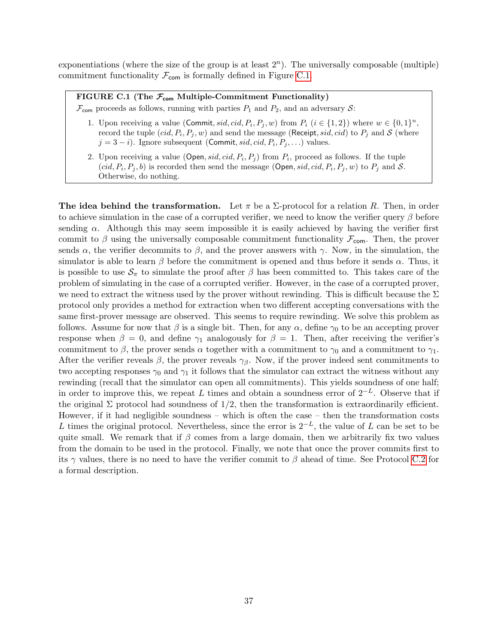exponentiations (where the size of the group is at least  $2<sup>n</sup>$ ). The universally composable (multiple) commitment functionality  $\mathcal{F}_{com}$  is formally defined in Figure [C.1.](#page-37-0)

#### <span id="page-37-0"></span>FIGURE C.1 (The  $\mathcal{F}_{com}$  Multiple-Commitment Functionality)

 $\mathcal{F}_{\text{com}}$  proceeds as follows, running with parties  $P_1$  and  $P_2$ , and an adversary  $\mathcal{S}$ :

- 1. Upon receiving a value (Commit, sid, cid,  $P_i$ ,  $P_j$ , w) from  $P_i$   $(i \in \{1,2\})$  where  $w \in \{0,1\}^n$ , record the tuple  $(cid, P_i, P_j, w)$  and send the message (Receipt, sid, cid) to  $P_j$  and S (where  $j = 3 - i$ ). Ignore subsequent (Commit, sid, cid,  $P_i, P_j, \ldots$ ) values.
- 2. Upon receiving a value (Open,  $sid, cid, P_i, P_j$ ) from  $P_i$ , proceed as follows. If the tuple  $(cid, P_i, P_j, b)$  is recorded then send the message (Open, sid, cid,  $P_i, P_j, w$ ) to  $P_j$  and S. Otherwise, do nothing.

The idea behind the transformation. Let  $\pi$  be a  $\Sigma$ -protocol for a relation R. Then, in order to achieve simulation in the case of a corrupted verifier, we need to know the verifier query  $\beta$  before sending  $\alpha$ . Although this may seem impossible it is easily achieved by having the verifier first commit to  $\beta$  using the universally composable commitment functionality  $\mathcal{F}_{\text{com}}$ . Then, the prover sends  $\alpha$ , the verifier decommits to  $\beta$ , and the prover answers with  $\gamma$ . Now, in the simulation, the simulator is able to learn  $\beta$  before the commitment is opened and thus before it sends  $\alpha$ . Thus, it is possible to use  $S_{\pi}$  to simulate the proof after  $\beta$  has been committed to. This takes care of the problem of simulating in the case of a corrupted verifier. However, in the case of a corrupted prover, we need to extract the witness used by the prover without rewinding. This is difficult because the  $\Sigma$ protocol only provides a method for extraction when two different accepting conversations with the same first-prover message are observed. This seems to require rewinding. We solve this problem as follows. Assume for now that  $\beta$  is a single bit. Then, for any  $\alpha$ , define  $\gamma_0$  to be an accepting prover response when  $\beta = 0$ , and define  $\gamma_1$  analogously for  $\beta = 1$ . Then, after receiving the verifier's commitment to  $\beta$ , the prover sends  $\alpha$  together with a commitment to  $\gamma_0$  and a commitment to  $\gamma_1$ . After the verifier reveals  $\beta$ , the prover reveals  $\gamma_{\beta}$ . Now, if the prover indeed sent commitments to two accepting responses  $\gamma_0$  and  $\gamma_1$  it follows that the simulator can extract the witness without any rewinding (recall that the simulator can open all commitments). This yields soundness of one half; in order to improve this, we repeat L times and obtain a soundness error of  $2^{-L}$ . Observe that if the original  $\Sigma$  protocol had soundness of  $1/2$ , then the transformation is extraordinarily efficient. However, if it had negligible soundness – which is often the case – then the transformation costs L times the original protocol. Nevertheless, since the error is  $2^{-L}$ , the value of L can be set to be quite small. We remark that if  $\beta$  comes from a large domain, then we arbitrarily fix two values from the domain to be used in the protocol. Finally, we note that once the prover commits first to its  $\gamma$  values, there is no need to have the verifier commit to  $\beta$  ahead of time. See Protocol [C.2](#page-38-0) for a formal description.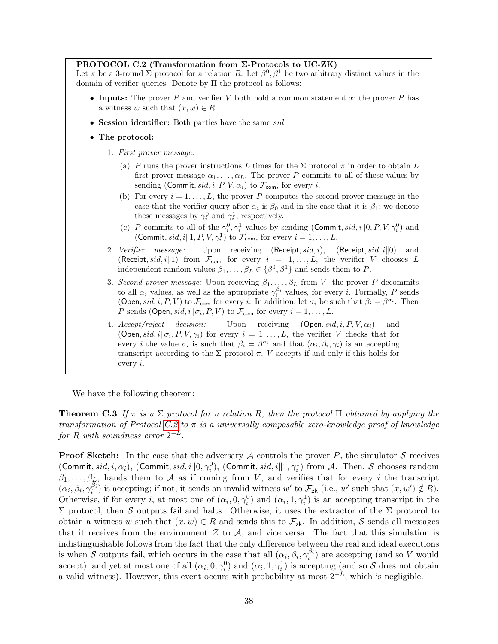### <span id="page-38-0"></span>PROTOCOL C.2 (Transformation from Σ-Protocols to UC-ZK)

Let  $\pi$  be a 3-round  $\Sigma$  protocol for a relation R. Let  $\beta^0$ ,  $\beta^1$  be two arbitrary distinct values in the domain of verifier queries. Denote by Π the protocol as follows:

- Inputs: The prover  $P$  and verifier  $V$  both hold a common statement  $x$ ; the prover  $P$  has a witness w such that  $(x, w) \in R$ .
- Session identifier: Both parties have the same sid
- The protocol:
	- 1. First prover message:
		- (a) P runs the prover instructions L times for the  $\Sigma$  protocol  $\pi$  in order to obtain L first prover message  $\alpha_1, \ldots, \alpha_L$ . The prover P commits to all of these values by sending (Commit,  $sid, i, P, V, \alpha_i)$  to  $\mathcal{F}_{com}$ , for every i.
		- (b) For every  $i = 1, \ldots, L$ , the prover P computes the second prover message in the case that the verifier query after  $\alpha_i$  is  $\beta_0$  and in the case that it is  $\beta_1$ ; we denote these messages by  $\gamma_i^0$  and  $\gamma_i^1$ , respectively.
		- (c) P commits to all of the  $\gamma_i^0, \gamma_i^1$  values by sending (Commit, sid, i||0, P, V,  $\gamma_i^0$ ) and (Commit,  $sid, i||1, P, V, \gamma_i^1)$  to  $\mathcal{F}_{com}$ , for every  $i = 1, ..., L$ .
	- 2. Verifier message: Upon receiving  $(Receipt, sid, i)$ ,  $(Receipt, sid, i||0)$  and (Receipt,  $sid, i||1)$  from  $\mathcal{F}_{com}$  for every  $i = 1, ..., L$ , the verifier V chooses L independent random values  $\beta_1, \ldots, \beta_L \in {\beta^0, \beta^1}$  and sends them to P.
	- 3. Second prover message: Upon receiving  $\beta_1, \ldots, \beta_L$  from V, the prover P decommits to all  $\alpha_i$  values, as well as the appropriate  $\gamma_i^{\beta_i}$  values, for every i. Formally, P sends (Open, sid, i, P, V) to  $\mathcal{F}_{com}$  for every i. In addition, let  $\sigma_i$  be such that  $\beta_i = \beta^{\sigma_i}$ . Then P sends (Open,  $sid, i||\sigma_i, P, V$ ) to  $\mathcal{F}_{com}$  for every  $i = 1, ..., L$ .
	- 4.  $Accept/reject \text{decision:}$  Upon receiving (Open,  $sid, i, P, V, \alpha_i$ ) and (Open, sid, i $\|\sigma_i, P, V, \gamma_i\|$  for every  $i = 1, \ldots, L$ , the verifier V checks that for every *i* the value  $\sigma_i$  is such that  $\beta_i = \beta^{\sigma_i}$  and that  $(\alpha_i, \beta_i, \gamma_i)$  is an accepting transcript according to the  $\Sigma$  protocol  $\pi$ . V accepts if and only if this holds for every i.

We have the following theorem:

**Theorem C.3** If  $\pi$  is a  $\Sigma$  protocol for a relation R, then the protocol  $\Pi$  obtained by applying the transformation of Protocol [C.2](#page-38-0) to  $\pi$  is a universally composable zero-knowledge proof of knowledge  $for\ R\ with\ soundness\ error\ 2^{-L}.$ 

**Proof Sketch:** In the case that the adversary A controls the prover P, the simulator  $S$  receives (Commit,  $sid, i, \alpha_i$ ), (Commit,  $sid, i||0, \gamma_i^0$ ), (Commit,  $sid, i||1, \gamma_i^1$ ) from A. Then, S chooses random  $\beta_1, \ldots, \beta_L$ , hands them to A as if coming from V, and verifies that for every i the transcript  $(\alpha_i, \beta_i, \gamma_i^{\beta_i})$  is accepting; if not, it sends an invalid witness w' to  $\mathcal{F}_{\mathsf{zk}}$  (i.e., w' such that  $(x, w') \notin \overline{R}$ ). Otherwise, if for every *i*, at most one of  $(\alpha_i, 0, \gamma_i^0)$  and  $(\alpha_i, 1, \gamma_i^1)$  is an accepting transcript in the Σ protocol, then S outputs fail and halts. Otherwise, it uses the extractor of the Σ protocol to obtain a witness w such that  $(x, w) \in R$  and sends this to  $\mathcal{F}_{z_k}$ . In addition, S sends all messages that it receives from the environment  $\mathcal Z$  to  $\mathcal A$ , and vice versa. The fact that this simulation is indistinguishable follows from the fact that the only difference between the real and ideal executions is when S outputs fail, which occurs in the case that all  $(\alpha_i, \beta_i, \gamma_i^{\beta_i})$  are accepting (and so V would accept), and yet at most one of all  $(\alpha_i, 0, \gamma_i^0)$  and  $(\alpha_i, 1, \gamma_i^1)$  is accepting (and so S does not obtain a valid witness). However, this event occurs with probability at most  $2^{-L}$ , which is negligible.